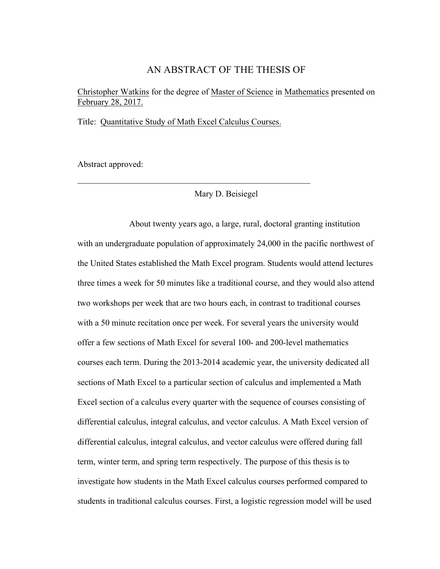## AN ABSTRACT OF THE THESIS OF

Christopher Watkins for the degree of Master of Science in Mathematics presented on February 28, 2017.

Title: Quantitative Study of Math Excel Calculus Courses.

 $\mathcal{L}_\text{max}$  and  $\mathcal{L}_\text{max}$  and  $\mathcal{L}_\text{max}$  and  $\mathcal{L}_\text{max}$  and  $\mathcal{L}_\text{max}$  and  $\mathcal{L}_\text{max}$ 

Abstract approved:

Mary D. Beisiegel

About twenty years ago, a large, rural, doctoral granting institution with an undergraduate population of approximately 24,000 in the pacific northwest of the United States established the Math Excel program. Students would attend lectures three times a week for 50 minutes like a traditional course, and they would also attend two workshops per week that are two hours each, in contrast to traditional courses with a 50 minute recitation once per week. For several years the university would offer a few sections of Math Excel for several 100- and 200-level mathematics courses each term. During the 2013-2014 academic year, the university dedicated all sections of Math Excel to a particular section of calculus and implemented a Math Excel section of a calculus every quarter with the sequence of courses consisting of differential calculus, integral calculus, and vector calculus. A Math Excel version of differential calculus, integral calculus, and vector calculus were offered during fall term, winter term, and spring term respectively. The purpose of this thesis is to investigate how students in the Math Excel calculus courses performed compared to students in traditional calculus courses. First, a logistic regression model will be used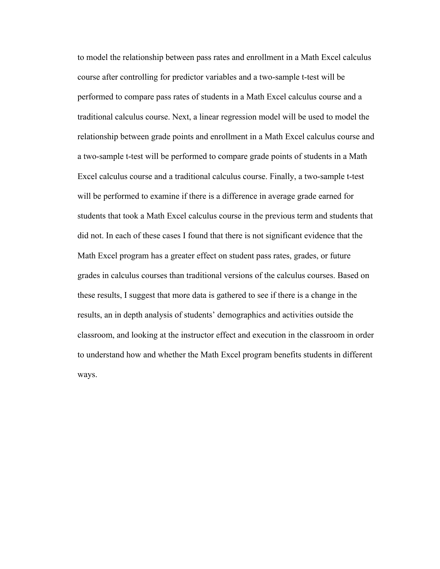to model the relationship between pass rates and enrollment in a Math Excel calculus course after controlling for predictor variables and a two-sample t-test will be performed to compare pass rates of students in a Math Excel calculus course and a traditional calculus course. Next, a linear regression model will be used to model the relationship between grade points and enrollment in a Math Excel calculus course and a two-sample t-test will be performed to compare grade points of students in a Math Excel calculus course and a traditional calculus course. Finally, a two-sample t-test will be performed to examine if there is a difference in average grade earned for students that took a Math Excel calculus course in the previous term and students that did not. In each of these cases I found that there is not significant evidence that the Math Excel program has a greater effect on student pass rates, grades, or future grades in calculus courses than traditional versions of the calculus courses. Based on these results, I suggest that more data is gathered to see if there is a change in the results, an in depth analysis of students' demographics and activities outside the classroom, and looking at the instructor effect and execution in the classroom in order to understand how and whether the Math Excel program benefits students in different ways.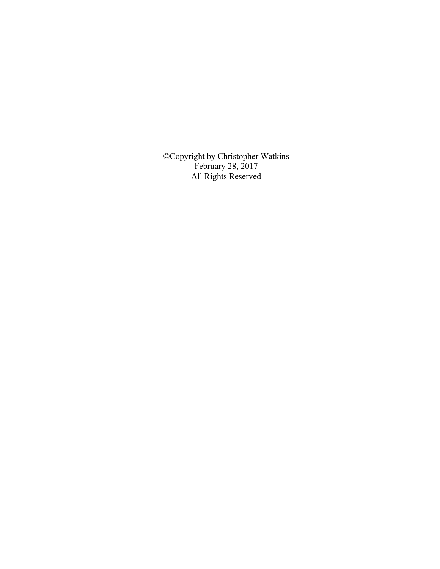©Copyright by Christopher Watkins February 28, 2017 All Rights Reserved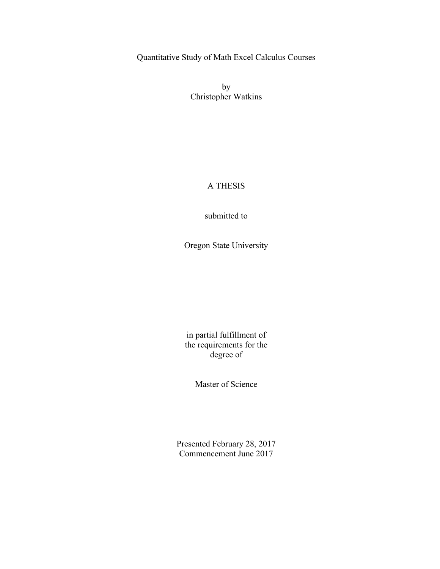Quantitative Study of Math Excel Calculus Courses

by Christopher Watkins

## A THESIS

submitted to

Oregon State University

in partial fulfillment of the requirements for the degree of

Master of Science

Presented February 28, 2017 Commencement June 2017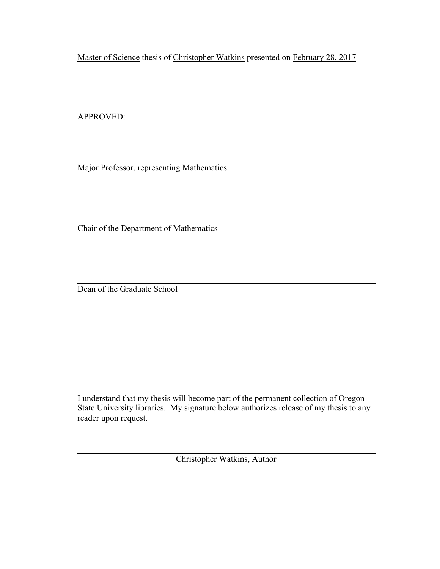Master of Science thesis of Christopher Watkins presented on February 28, 2017

APPROVED:

Major Professor, representing Mathematics

Chair of the Department of Mathematics

Dean of the Graduate School

I understand that my thesis will become part of the permanent collection of Oregon State University libraries. My signature below authorizes release of my thesis to any reader upon request.

Christopher Watkins, Author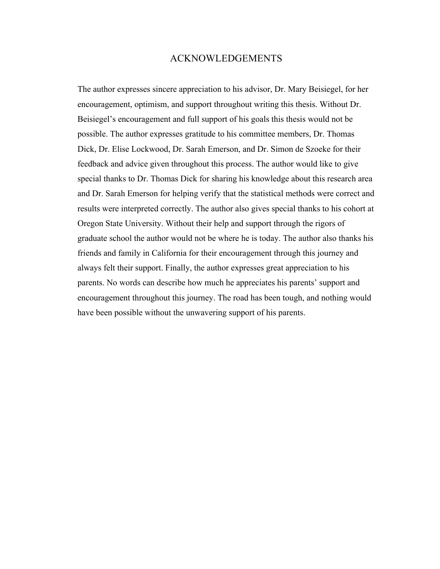### ACKNOWLEDGEMENTS

The author expresses sincere appreciation to his advisor, Dr. Mary Beisiegel, for her encouragement, optimism, and support throughout writing this thesis. Without Dr. Beisiegel's encouragement and full support of his goals this thesis would not be possible. The author expresses gratitude to his committee members, Dr. Thomas Dick, Dr. Elise Lockwood, Dr. Sarah Emerson, and Dr. Simon de Szoeke for their feedback and advice given throughout this process. The author would like to give special thanks to Dr. Thomas Dick for sharing his knowledge about this research area and Dr. Sarah Emerson for helping verify that the statistical methods were correct and results were interpreted correctly. The author also gives special thanks to his cohort at Oregon State University. Without their help and support through the rigors of graduate school the author would not be where he is today. The author also thanks his friends and family in California for their encouragement through this journey and always felt their support. Finally, the author expresses great appreciation to his parents. No words can describe how much he appreciates his parents' support and encouragement throughout this journey. The road has been tough, and nothing would have been possible without the unwavering support of his parents.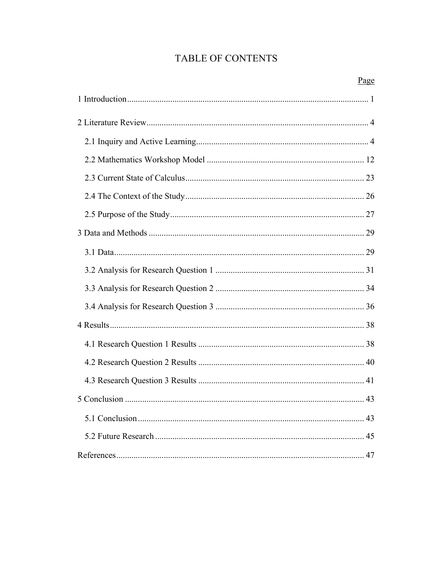# TABLE OF CONTENTS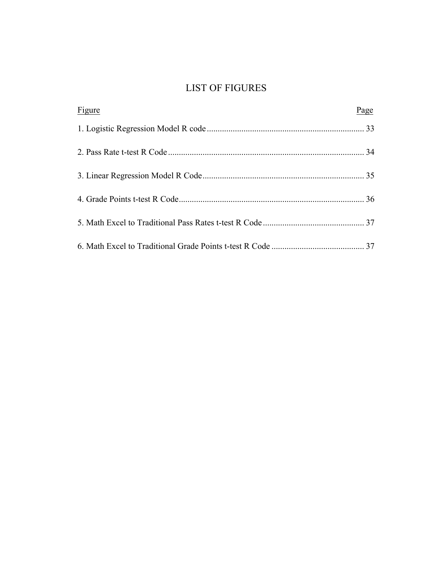## LIST OF FIGURES

| Figure | Page |
|--------|------|
|        |      |
|        |      |
|        |      |
|        |      |
|        |      |
|        |      |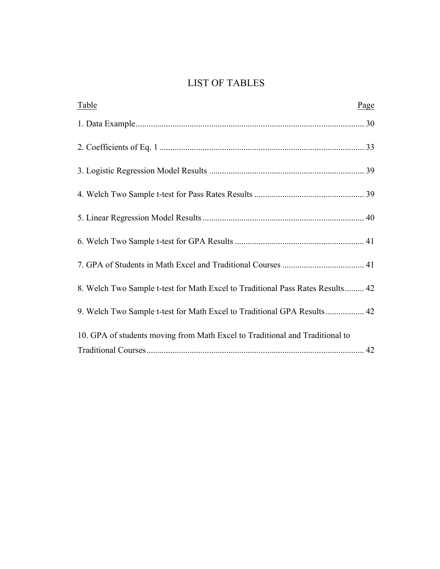## LIST OF TABLES

| Table                                                                          | Page |
|--------------------------------------------------------------------------------|------|
|                                                                                |      |
|                                                                                |      |
|                                                                                |      |
|                                                                                |      |
|                                                                                |      |
|                                                                                |      |
|                                                                                |      |
| 8. Welch Two Sample t-test for Math Excel to Traditional Pass Rates Results 42 |      |
| 9. Welch Two Sample t-test for Math Excel to Traditional GPA Results 42        |      |
| 10. GPA of students moving from Math Excel to Traditional and Traditional to   |      |
|                                                                                |      |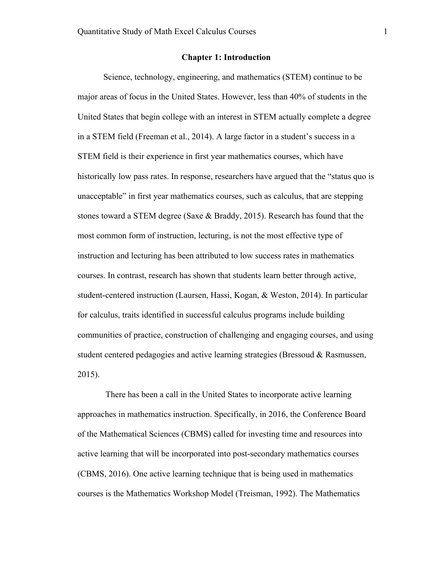#### **Chapter 1: Introduction**

Science, technology, engineering, and mathematics (STEM) continue to be major areas of focus in the United States. However, less than 40% of students in the United States that begin college with an interest in STEM actually complete a degree in a STEM field (Freeman et al., 2014). A large factor in a student's success in a STEM field is their experience in first year mathematics courses, which have historically low pass rates. In response, researchers have argued that the "status quo is unacceptable" in first year mathematics courses, such as calculus, that are stepping stones toward a STEM degree (Saxe & Braddy, 2015). Research has found that the most common form of instruction, lecturing, is not the most effective type of instruction and lecturing has been attributed to low success rates in mathematics courses. In contrast, research has shown that students learn better through active, student-centered instruction (Laursen, Hassi, Kogan, & Weston, 2014). In particular for calculus, traits identified in successful calculus programs include building communities of practice, construction of challenging and engaging courses, and using student centered pedagogies and active learning strategies (Bressoud & Rasmussen, 2015).

There has been a call in the United States to incorporate active learning approaches in mathematics instruction. Specifically, in 2016, the Conference Board of the Mathematical Sciences (CBMS) called for investing time and resources into active learning that will be incorporated into post-secondary mathematics courses (CBMS, 2016). One active learning technique that is being used in mathematics courses is the Mathematics Workshop Model (Treisman, 1992). The Mathematics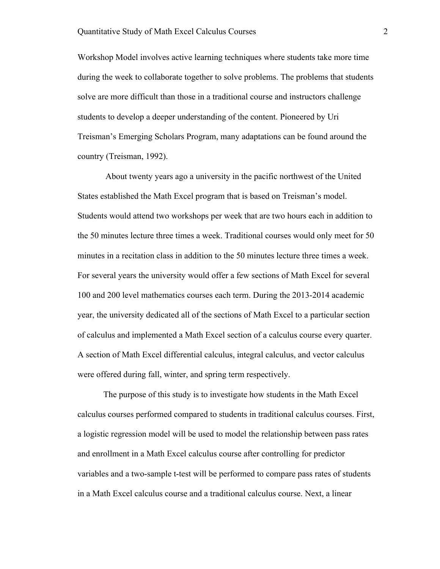Workshop Model involves active learning techniques where students take more time during the week to collaborate together to solve problems. The problems that students solve are more difficult than those in a traditional course and instructors challenge students to develop a deeper understanding of the content. Pioneered by Uri Treisman's Emerging Scholars Program, many adaptations can be found around the country (Treisman, 1992).

About twenty years ago a university in the pacific northwest of the United States established the Math Excel program that is based on Treisman's model. Students would attend two workshops per week that are two hours each in addition to the 50 minutes lecture three times a week. Traditional courses would only meet for 50 minutes in a recitation class in addition to the 50 minutes lecture three times a week. For several years the university would offer a few sections of Math Excel for several 100 and 200 level mathematics courses each term. During the 2013-2014 academic year, the university dedicated all of the sections of Math Excel to a particular section of calculus and implemented a Math Excel section of a calculus course every quarter. A section of Math Excel differential calculus, integral calculus, and vector calculus were offered during fall, winter, and spring term respectively.

The purpose of this study is to investigate how students in the Math Excel calculus courses performed compared to students in traditional calculus courses. First, a logistic regression model will be used to model the relationship between pass rates and enrollment in a Math Excel calculus course after controlling for predictor variables and a two-sample t-test will be performed to compare pass rates of students in a Math Excel calculus course and a traditional calculus course. Next, a linear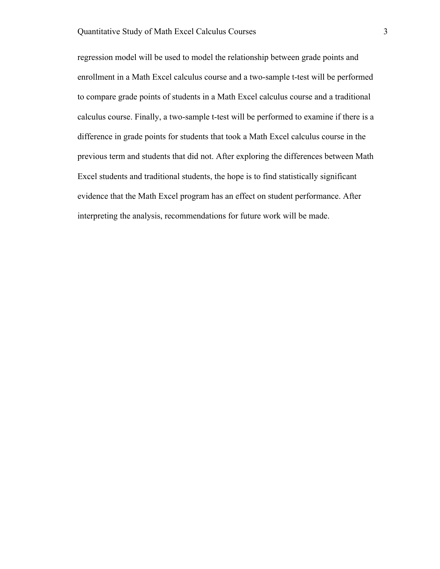regression model will be used to model the relationship between grade points and enrollment in a Math Excel calculus course and a two-sample t-test will be performed to compare grade points of students in a Math Excel calculus course and a traditional calculus course. Finally, a two-sample t-test will be performed to examine if there is a difference in grade points for students that took a Math Excel calculus course in the previous term and students that did not. After exploring the differences between Math Excel students and traditional students, the hope is to find statistically significant evidence that the Math Excel program has an effect on student performance. After interpreting the analysis, recommendations for future work will be made.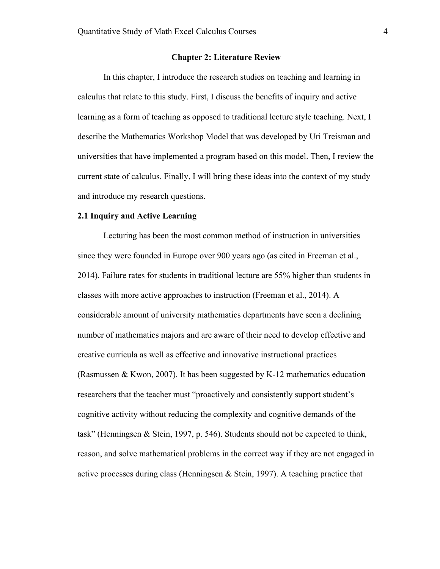#### **Chapter 2: Literature Review**

In this chapter, I introduce the research studies on teaching and learning in calculus that relate to this study. First, I discuss the benefits of inquiry and active learning as a form of teaching as opposed to traditional lecture style teaching. Next, I describe the Mathematics Workshop Model that was developed by Uri Treisman and universities that have implemented a program based on this model. Then, I review the current state of calculus. Finally, I will bring these ideas into the context of my study and introduce my research questions.

#### **2.1 Inquiry and Active Learning**

Lecturing has been the most common method of instruction in universities since they were founded in Europe over 900 years ago (as cited in Freeman et al., 2014). Failure rates for students in traditional lecture are 55% higher than students in classes with more active approaches to instruction (Freeman et al., 2014). A considerable amount of university mathematics departments have seen a declining number of mathematics majors and are aware of their need to develop effective and creative curricula as well as effective and innovative instructional practices (Rasmussen & Kwon, 2007). It has been suggested by K-12 mathematics education researchers that the teacher must "proactively and consistently support student's cognitive activity without reducing the complexity and cognitive demands of the task" (Henningsen & Stein, 1997, p. 546). Students should not be expected to think, reason, and solve mathematical problems in the correct way if they are not engaged in active processes during class (Henningsen & Stein, 1997). A teaching practice that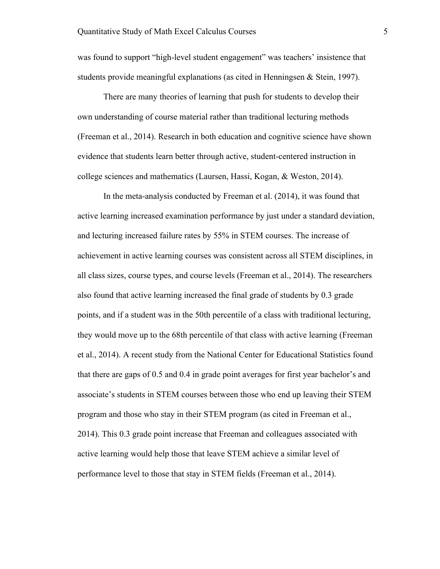was found to support "high-level student engagement" was teachers' insistence that students provide meaningful explanations (as cited in Henningsen & Stein, 1997).

There are many theories of learning that push for students to develop their own understanding of course material rather than traditional lecturing methods (Freeman et al., 2014). Research in both education and cognitive science have shown evidence that students learn better through active, student-centered instruction in college sciences and mathematics (Laursen, Hassi, Kogan, & Weston, 2014).

In the meta-analysis conducted by Freeman et al. (2014), it was found that active learning increased examination performance by just under a standard deviation, and lecturing increased failure rates by 55% in STEM courses. The increase of achievement in active learning courses was consistent across all STEM disciplines, in all class sizes, course types, and course levels (Freeman et al., 2014). The researchers also found that active learning increased the final grade of students by 0.3 grade points, and if a student was in the 50th percentile of a class with traditional lecturing, they would move up to the 68th percentile of that class with active learning (Freeman et al., 2014). A recent study from the National Center for Educational Statistics found that there are gaps of 0.5 and 0.4 in grade point averages for first year bachelor's and associate's students in STEM courses between those who end up leaving their STEM program and those who stay in their STEM program (as cited in Freeman et al., 2014). This 0.3 grade point increase that Freeman and colleagues associated with active learning would help those that leave STEM achieve a similar level of performance level to those that stay in STEM fields (Freeman et al., 2014).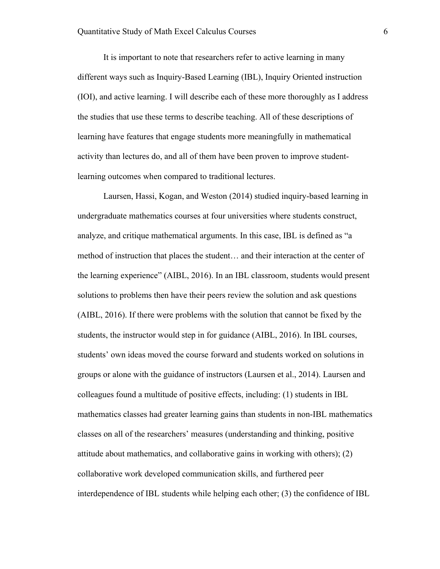It is important to note that researchers refer to active learning in many different ways such as Inquiry-Based Learning (IBL), Inquiry Oriented instruction (IOI), and active learning. I will describe each of these more thoroughly as I address the studies that use these terms to describe teaching. All of these descriptions of learning have features that engage students more meaningfully in mathematical activity than lectures do, and all of them have been proven to improve studentlearning outcomes when compared to traditional lectures.

Laursen, Hassi, Kogan, and Weston (2014) studied inquiry-based learning in undergraduate mathematics courses at four universities where students construct, analyze, and critique mathematical arguments. In this case, IBL is defined as "a method of instruction that places the student… and their interaction at the center of the learning experience" (AIBL, 2016). In an IBL classroom, students would present solutions to problems then have their peers review the solution and ask questions (AIBL, 2016). If there were problems with the solution that cannot be fixed by the students, the instructor would step in for guidance (AIBL, 2016). In IBL courses, students' own ideas moved the course forward and students worked on solutions in groups or alone with the guidance of instructors (Laursen et al., 2014). Laursen and colleagues found a multitude of positive effects, including: (1) students in IBL mathematics classes had greater learning gains than students in non-IBL mathematics classes on all of the researchers' measures (understanding and thinking, positive attitude about mathematics, and collaborative gains in working with others); (2) collaborative work developed communication skills, and furthered peer interdependence of IBL students while helping each other; (3) the confidence of IBL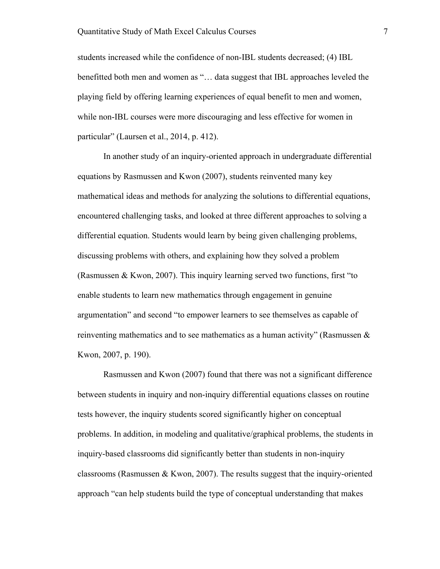students increased while the confidence of non-IBL students decreased; (4) IBL benefitted both men and women as "… data suggest that IBL approaches leveled the playing field by offering learning experiences of equal benefit to men and women, while non-IBL courses were more discouraging and less effective for women in particular" (Laursen et al., 2014, p. 412).

In another study of an inquiry-oriented approach in undergraduate differential equations by Rasmussen and Kwon (2007), students reinvented many key mathematical ideas and methods for analyzing the solutions to differential equations, encountered challenging tasks, and looked at three different approaches to solving a differential equation. Students would learn by being given challenging problems, discussing problems with others, and explaining how they solved a problem (Rasmussen & Kwon, 2007). This inquiry learning served two functions, first "to enable students to learn new mathematics through engagement in genuine argumentation" and second "to empower learners to see themselves as capable of reinventing mathematics and to see mathematics as a human activity" (Rasmussen  $\&$ Kwon, 2007, p. 190).

Rasmussen and Kwon (2007) found that there was not a significant difference between students in inquiry and non-inquiry differential equations classes on routine tests however, the inquiry students scored significantly higher on conceptual problems. In addition, in modeling and qualitative/graphical problems, the students in inquiry-based classrooms did significantly better than students in non-inquiry classrooms (Rasmussen  $& K$  Won, 2007). The results suggest that the inquiry-oriented approach "can help students build the type of conceptual understanding that makes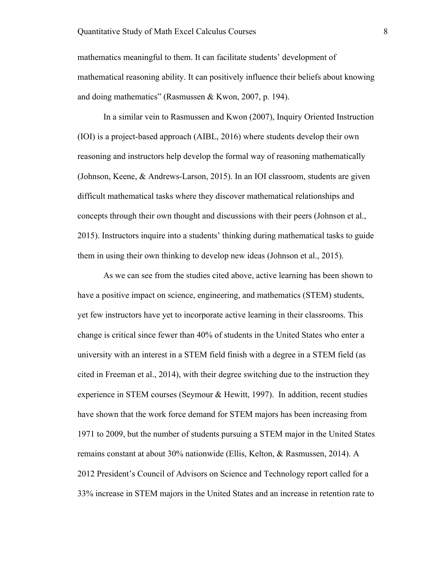mathematics meaningful to them. It can facilitate students' development of mathematical reasoning ability. It can positively influence their beliefs about knowing and doing mathematics" (Rasmussen & Kwon, 2007, p. 194).

In a similar vein to Rasmussen and Kwon (2007), Inquiry Oriented Instruction (IOI) is a project-based approach (AIBL, 2016) where students develop their own reasoning and instructors help develop the formal way of reasoning mathematically (Johnson, Keene, & Andrews-Larson, 2015). In an IOI classroom, students are given difficult mathematical tasks where they discover mathematical relationships and concepts through their own thought and discussions with their peers (Johnson et al., 2015). Instructors inquire into a students' thinking during mathematical tasks to guide them in using their own thinking to develop new ideas (Johnson et al., 2015).

As we can see from the studies cited above, active learning has been shown to have a positive impact on science, engineering, and mathematics (STEM) students, yet few instructors have yet to incorporate active learning in their classrooms. This change is critical since fewer than 40% of students in the United States who enter a university with an interest in a STEM field finish with a degree in a STEM field (as cited in Freeman et al., 2014), with their degree switching due to the instruction they experience in STEM courses (Seymour & Hewitt, 1997). In addition, recent studies have shown that the work force demand for STEM majors has been increasing from 1971 to 2009, but the number of students pursuing a STEM major in the United States remains constant at about 30% nationwide (Ellis, Kelton, & Rasmussen, 2014). A 2012 President's Council of Advisors on Science and Technology report called for a 33% increase in STEM majors in the United States and an increase in retention rate to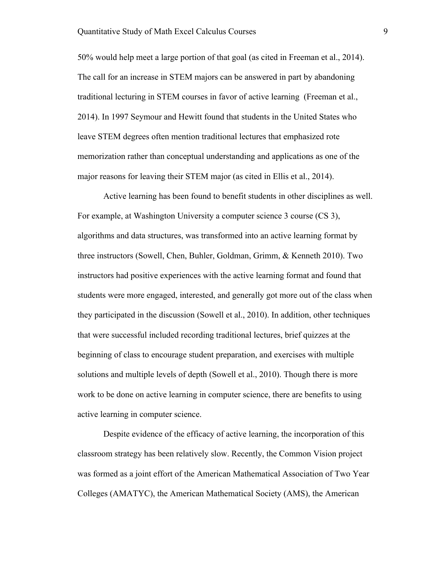50% would help meet a large portion of that goal (as cited in Freeman et al., 2014). The call for an increase in STEM majors can be answered in part by abandoning traditional lecturing in STEM courses in favor of active learning (Freeman et al., 2014). In 1997 Seymour and Hewitt found that students in the United States who leave STEM degrees often mention traditional lectures that emphasized rote memorization rather than conceptual understanding and applications as one of the major reasons for leaving their STEM major (as cited in Ellis et al., 2014).

Active learning has been found to benefit students in other disciplines as well. For example, at Washington University a computer science 3 course (CS 3), algorithms and data structures, was transformed into an active learning format by three instructors (Sowell, Chen, Buhler, Goldman, Grimm, & Kenneth 2010). Two instructors had positive experiences with the active learning format and found that students were more engaged, interested, and generally got more out of the class when they participated in the discussion (Sowell et al., 2010). In addition, other techniques that were successful included recording traditional lectures, brief quizzes at the beginning of class to encourage student preparation, and exercises with multiple solutions and multiple levels of depth (Sowell et al., 2010). Though there is more work to be done on active learning in computer science, there are benefits to using active learning in computer science.

Despite evidence of the efficacy of active learning, the incorporation of this classroom strategy has been relatively slow. Recently, the Common Vision project was formed as a joint effort of the American Mathematical Association of Two Year Colleges (AMATYC), the American Mathematical Society (AMS), the American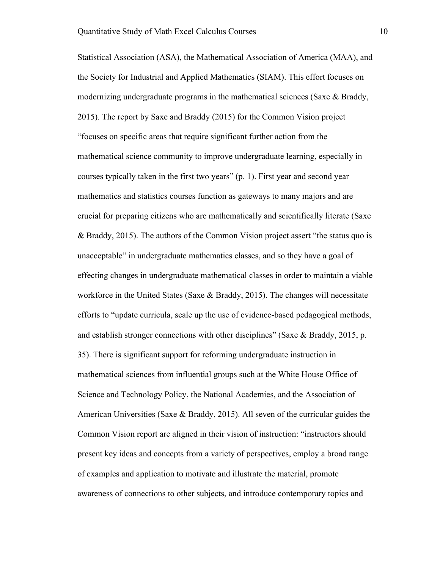Statistical Association (ASA), the Mathematical Association of America (MAA), and the Society for Industrial and Applied Mathematics (SIAM). This effort focuses on modernizing undergraduate programs in the mathematical sciences (Saxe & Braddy, 2015). The report by Saxe and Braddy (2015) for the Common Vision project "focuses on specific areas that require significant further action from the mathematical science community to improve undergraduate learning, especially in courses typically taken in the first two years" (p. 1). First year and second year mathematics and statistics courses function as gateways to many majors and are crucial for preparing citizens who are mathematically and scientifically literate (Saxe & Braddy, 2015). The authors of the Common Vision project assert "the status quo is unacceptable" in undergraduate mathematics classes, and so they have a goal of effecting changes in undergraduate mathematical classes in order to maintain a viable workforce in the United States (Saxe  $\&$  Braddy, 2015). The changes will necessitate efforts to "update curricula, scale up the use of evidence-based pedagogical methods, and establish stronger connections with other disciplines" (Saxe & Braddy, 2015, p. 35). There is significant support for reforming undergraduate instruction in mathematical sciences from influential groups such at the White House Office of Science and Technology Policy, the National Academies, and the Association of American Universities (Saxe & Braddy, 2015). All seven of the curricular guides the Common Vision report are aligned in their vision of instruction: "instructors should present key ideas and concepts from a variety of perspectives, employ a broad range of examples and application to motivate and illustrate the material, promote awareness of connections to other subjects, and introduce contemporary topics and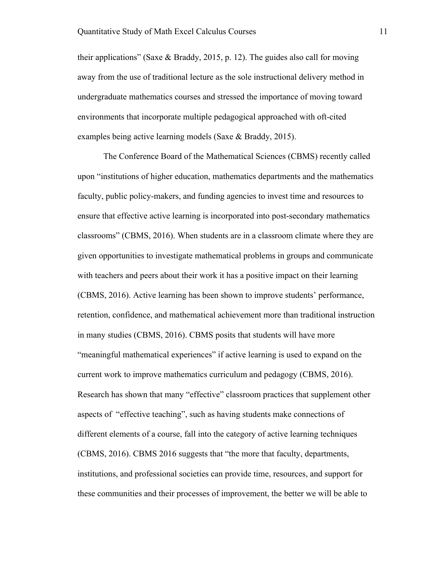their applications" (Saxe & Braddy, 2015, p. 12). The guides also call for moving away from the use of traditional lecture as the sole instructional delivery method in undergraduate mathematics courses and stressed the importance of moving toward environments that incorporate multiple pedagogical approached with oft-cited examples being active learning models (Saxe & Braddy, 2015).

The Conference Board of the Mathematical Sciences (CBMS) recently called upon "institutions of higher education, mathematics departments and the mathematics faculty, public policy-makers, and funding agencies to invest time and resources to ensure that effective active learning is incorporated into post-secondary mathematics classrooms" (CBMS, 2016). When students are in a classroom climate where they are given opportunities to investigate mathematical problems in groups and communicate with teachers and peers about their work it has a positive impact on their learning (CBMS, 2016). Active learning has been shown to improve students' performance, retention, confidence, and mathematical achievement more than traditional instruction in many studies (CBMS, 2016). CBMS posits that students will have more "meaningful mathematical experiences" if active learning is used to expand on the current work to improve mathematics curriculum and pedagogy (CBMS, 2016). Research has shown that many "effective" classroom practices that supplement other aspects of "effective teaching", such as having students make connections of different elements of a course, fall into the category of active learning techniques (CBMS, 2016). CBMS 2016 suggests that "the more that faculty, departments, institutions, and professional societies can provide time, resources, and support for these communities and their processes of improvement, the better we will be able to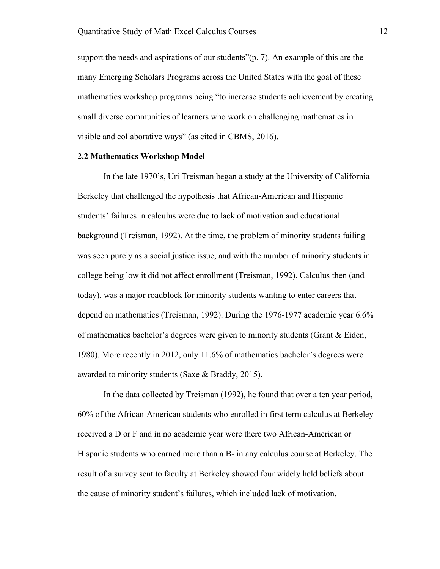support the needs and aspirations of our students"(p. 7). An example of this are the many Emerging Scholars Programs across the United States with the goal of these mathematics workshop programs being "to increase students achievement by creating small diverse communities of learners who work on challenging mathematics in visible and collaborative ways" (as cited in CBMS, 2016).

#### **2.2 Mathematics Workshop Model**

In the late 1970's, Uri Treisman began a study at the University of California Berkeley that challenged the hypothesis that African-American and Hispanic students' failures in calculus were due to lack of motivation and educational background (Treisman, 1992). At the time, the problem of minority students failing was seen purely as a social justice issue, and with the number of minority students in college being low it did not affect enrollment (Treisman, 1992). Calculus then (and today), was a major roadblock for minority students wanting to enter careers that depend on mathematics (Treisman, 1992). During the 1976-1977 academic year 6.6% of mathematics bachelor's degrees were given to minority students (Grant & Eiden, 1980). More recently in 2012, only 11.6% of mathematics bachelor's degrees were awarded to minority students (Saxe & Braddy, 2015).

In the data collected by Treisman (1992), he found that over a ten year period, 60% of the African-American students who enrolled in first term calculus at Berkeley received a D or F and in no academic year were there two African-American or Hispanic students who earned more than a B- in any calculus course at Berkeley. The result of a survey sent to faculty at Berkeley showed four widely held beliefs about the cause of minority student's failures, which included lack of motivation,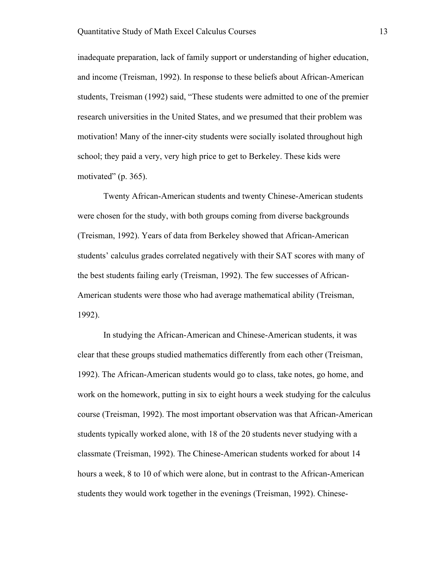inadequate preparation, lack of family support or understanding of higher education, and income (Treisman, 1992). In response to these beliefs about African-American students, Treisman (1992) said, "These students were admitted to one of the premier research universities in the United States, and we presumed that their problem was motivation! Many of the inner-city students were socially isolated throughout high school; they paid a very, very high price to get to Berkeley. These kids were motivated" (p. 365).

Twenty African-American students and twenty Chinese-American students were chosen for the study, with both groups coming from diverse backgrounds (Treisman, 1992). Years of data from Berkeley showed that African-American students' calculus grades correlated negatively with their SAT scores with many of the best students failing early (Treisman, 1992). The few successes of African-American students were those who had average mathematical ability (Treisman, 1992).

In studying the African-American and Chinese-American students, it was clear that these groups studied mathematics differently from each other (Treisman, 1992). The African-American students would go to class, take notes, go home, and work on the homework, putting in six to eight hours a week studying for the calculus course (Treisman, 1992). The most important observation was that African-American students typically worked alone, with 18 of the 20 students never studying with a classmate (Treisman, 1992). The Chinese-American students worked for about 14 hours a week, 8 to 10 of which were alone, but in contrast to the African-American students they would work together in the evenings (Treisman, 1992). Chinese-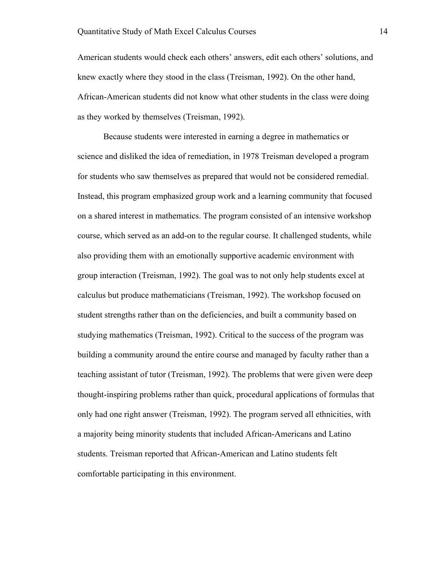American students would check each others' answers, edit each others' solutions, and knew exactly where they stood in the class (Treisman, 1992). On the other hand, African-American students did not know what other students in the class were doing as they worked by themselves (Treisman, 1992).

Because students were interested in earning a degree in mathematics or science and disliked the idea of remediation, in 1978 Treisman developed a program for students who saw themselves as prepared that would not be considered remedial. Instead, this program emphasized group work and a learning community that focused on a shared interest in mathematics. The program consisted of an intensive workshop course, which served as an add-on to the regular course. It challenged students, while also providing them with an emotionally supportive academic environment with group interaction (Treisman, 1992). The goal was to not only help students excel at calculus but produce mathematicians (Treisman, 1992). The workshop focused on student strengths rather than on the deficiencies, and built a community based on studying mathematics (Treisman, 1992). Critical to the success of the program was building a community around the entire course and managed by faculty rather than a teaching assistant of tutor (Treisman, 1992). The problems that were given were deep thought-inspiring problems rather than quick, procedural applications of formulas that only had one right answer (Treisman, 1992). The program served all ethnicities, with a majority being minority students that included African-Americans and Latino students. Treisman reported that African-American and Latino students felt comfortable participating in this environment.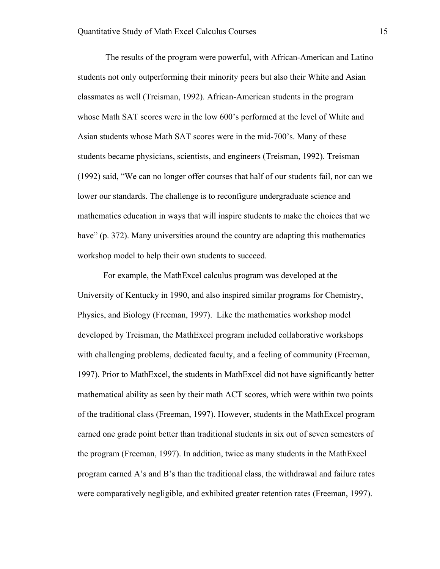The results of the program were powerful, with African-American and Latino students not only outperforming their minority peers but also their White and Asian classmates as well (Treisman, 1992). African-American students in the program whose Math SAT scores were in the low 600's performed at the level of White and Asian students whose Math SAT scores were in the mid-700's. Many of these students became physicians, scientists, and engineers (Treisman, 1992). Treisman (1992) said, "We can no longer offer courses that half of our students fail, nor can we lower our standards. The challenge is to reconfigure undergraduate science and mathematics education in ways that will inspire students to make the choices that we have" (p. 372). Many universities around the country are adapting this mathematics workshop model to help their own students to succeed.

For example, the MathExcel calculus program was developed at the University of Kentucky in 1990, and also inspired similar programs for Chemistry, Physics, and Biology (Freeman, 1997). Like the mathematics workshop model developed by Treisman, the MathExcel program included collaborative workshops with challenging problems, dedicated faculty, and a feeling of community (Freeman, 1997). Prior to MathExcel, the students in MathExcel did not have significantly better mathematical ability as seen by their math ACT scores, which were within two points of the traditional class (Freeman, 1997). However, students in the MathExcel program earned one grade point better than traditional students in six out of seven semesters of the program (Freeman, 1997). In addition, twice as many students in the MathExcel program earned A's and B's than the traditional class, the withdrawal and failure rates were comparatively negligible, and exhibited greater retention rates (Freeman, 1997).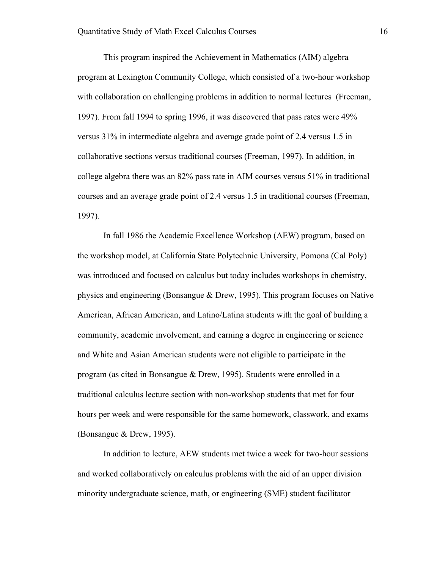This program inspired the Achievement in Mathematics (AIM) algebra program at Lexington Community College, which consisted of a two-hour workshop with collaboration on challenging problems in addition to normal lectures (Freeman, 1997). From fall 1994 to spring 1996, it was discovered that pass rates were 49% versus 31% in intermediate algebra and average grade point of 2.4 versus 1.5 in collaborative sections versus traditional courses (Freeman, 1997). In addition, in college algebra there was an 82% pass rate in AIM courses versus 51% in traditional courses and an average grade point of 2.4 versus 1.5 in traditional courses (Freeman, 1997).

In fall 1986 the Academic Excellence Workshop (AEW) program, based on the workshop model, at California State Polytechnic University, Pomona (Cal Poly) was introduced and focused on calculus but today includes workshops in chemistry, physics and engineering (Bonsangue & Drew, 1995). This program focuses on Native American, African American, and Latino/Latina students with the goal of building a community, academic involvement, and earning a degree in engineering or science and White and Asian American students were not eligible to participate in the program (as cited in Bonsangue & Drew, 1995). Students were enrolled in a traditional calculus lecture section with non-workshop students that met for four hours per week and were responsible for the same homework, classwork, and exams (Bonsangue & Drew, 1995).

In addition to lecture, AEW students met twice a week for two-hour sessions and worked collaboratively on calculus problems with the aid of an upper division minority undergraduate science, math, or engineering (SME) student facilitator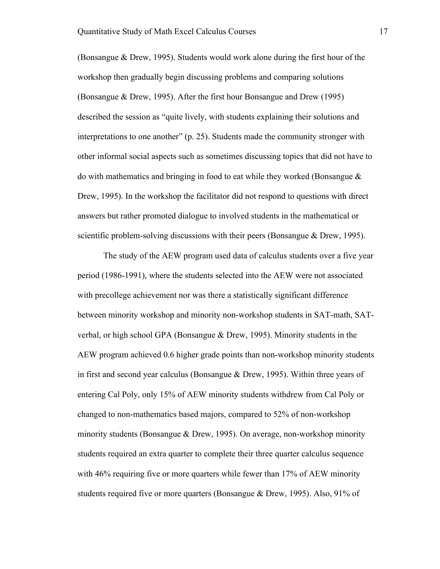(Bonsangue & Drew, 1995). Students would work alone during the first hour of the workshop then gradually begin discussing problems and comparing solutions (Bonsangue & Drew, 1995). After the first hour Bonsangue and Drew (1995) described the session as "quite lively, with students explaining their solutions and interpretations to one another" (p. 25). Students made the community stronger with other informal social aspects such as sometimes discussing topics that did not have to do with mathematics and bringing in food to eat while they worked (Bonsangue & Drew, 1995). In the workshop the facilitator did not respond to questions with direct answers but rather promoted dialogue to involved students in the mathematical or scientific problem-solving discussions with their peers (Bonsangue & Drew, 1995).

The study of the AEW program used data of calculus students over a five year period (1986-1991), where the students selected into the AEW were not associated with precollege achievement nor was there a statistically significant difference between minority workshop and minority non-workshop students in SAT-math, SATverbal, or high school GPA (Bonsangue & Drew, 1995). Minority students in the AEW program achieved 0.6 higher grade points than non-workshop minority students in first and second year calculus (Bonsangue & Drew, 1995). Within three years of entering Cal Poly, only 15% of AEW minority students withdrew from Cal Poly or changed to non-mathematics based majors, compared to 52% of non-workshop minority students (Bonsangue  $\&$  Drew, 1995). On average, non-workshop minority students required an extra quarter to complete their three quarter calculus sequence with 46% requiring five or more quarters while fewer than 17% of AEW minority students required five or more quarters (Bonsangue & Drew, 1995). Also, 91% of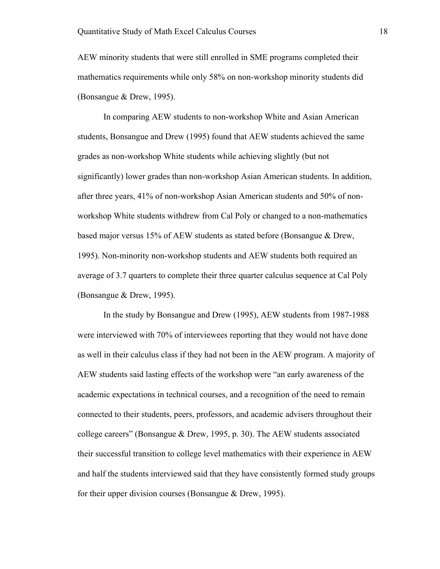AEW minority students that were still enrolled in SME programs completed their mathematics requirements while only 58% on non-workshop minority students did (Bonsangue & Drew, 1995).

In comparing AEW students to non-workshop White and Asian American students, Bonsangue and Drew (1995) found that AEW students achieved the same grades as non-workshop White students while achieving slightly (but not significantly) lower grades than non-workshop Asian American students. In addition, after three years, 41% of non-workshop Asian American students and 50% of nonworkshop White students withdrew from Cal Poly or changed to a non-mathematics based major versus 15% of AEW students as stated before (Bonsangue & Drew, 1995). Non-minority non-workshop students and AEW students both required an average of 3.7 quarters to complete their three quarter calculus sequence at Cal Poly (Bonsangue & Drew, 1995).

In the study by Bonsangue and Drew (1995), AEW students from 1987-1988 were interviewed with 70% of interviewees reporting that they would not have done as well in their calculus class if they had not been in the AEW program. A majority of AEW students said lasting effects of the workshop were "an early awareness of the academic expectations in technical courses, and a recognition of the need to remain connected to their students, peers, professors, and academic advisers throughout their college careers" (Bonsangue & Drew, 1995, p. 30). The AEW students associated their successful transition to college level mathematics with their experience in AEW and half the students interviewed said that they have consistently formed study groups for their upper division courses (Bonsangue & Drew, 1995).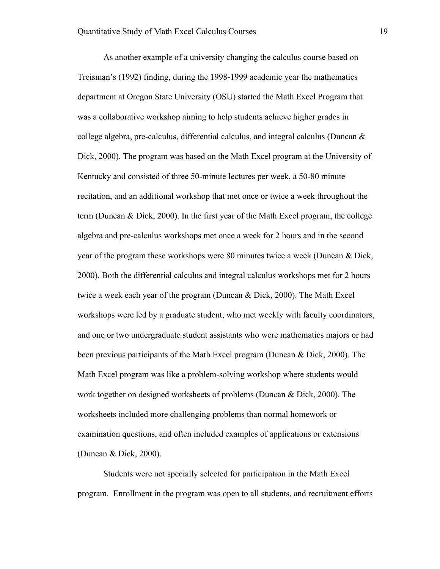As another example of a university changing the calculus course based on Treisman's (1992) finding, during the 1998-1999 academic year the mathematics department at Oregon State University (OSU) started the Math Excel Program that was a collaborative workshop aiming to help students achieve higher grades in college algebra, pre-calculus, differential calculus, and integral calculus (Duncan & Dick, 2000). The program was based on the Math Excel program at the University of Kentucky and consisted of three 50-minute lectures per week, a 50-80 minute recitation, and an additional workshop that met once or twice a week throughout the term (Duncan & Dick, 2000). In the first year of the Math Excel program, the college algebra and pre-calculus workshops met once a week for 2 hours and in the second year of the program these workshops were 80 minutes twice a week (Duncan & Dick, 2000). Both the differential calculus and integral calculus workshops met for 2 hours twice a week each year of the program (Duncan & Dick, 2000). The Math Excel workshops were led by a graduate student, who met weekly with faculty coordinators, and one or two undergraduate student assistants who were mathematics majors or had been previous participants of the Math Excel program (Duncan & Dick, 2000). The Math Excel program was like a problem-solving workshop where students would work together on designed worksheets of problems (Duncan & Dick, 2000). The worksheets included more challenging problems than normal homework or examination questions, and often included examples of applications or extensions (Duncan & Dick, 2000).

Students were not specially selected for participation in the Math Excel program. Enrollment in the program was open to all students, and recruitment efforts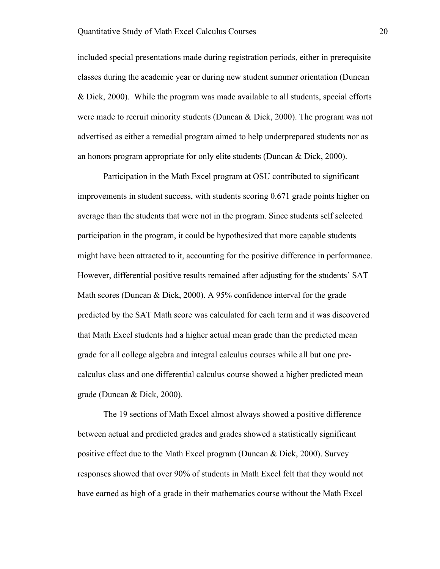included special presentations made during registration periods, either in prerequisite classes during the academic year or during new student summer orientation (Duncan & Dick, 2000). While the program was made available to all students, special efforts were made to recruit minority students (Duncan & Dick, 2000). The program was not advertised as either a remedial program aimed to help underprepared students nor as an honors program appropriate for only elite students (Duncan & Dick, 2000).

Participation in the Math Excel program at OSU contributed to significant improvements in student success, with students scoring 0.671 grade points higher on average than the students that were not in the program. Since students self selected participation in the program, it could be hypothesized that more capable students might have been attracted to it, accounting for the positive difference in performance. However, differential positive results remained after adjusting for the students' SAT Math scores (Duncan & Dick, 2000). A 95% confidence interval for the grade predicted by the SAT Math score was calculated for each term and it was discovered that Math Excel students had a higher actual mean grade than the predicted mean grade for all college algebra and integral calculus courses while all but one precalculus class and one differential calculus course showed a higher predicted mean grade (Duncan & Dick, 2000).

The 19 sections of Math Excel almost always showed a positive difference between actual and predicted grades and grades showed a statistically significant positive effect due to the Math Excel program (Duncan & Dick, 2000). Survey responses showed that over 90% of students in Math Excel felt that they would not have earned as high of a grade in their mathematics course without the Math Excel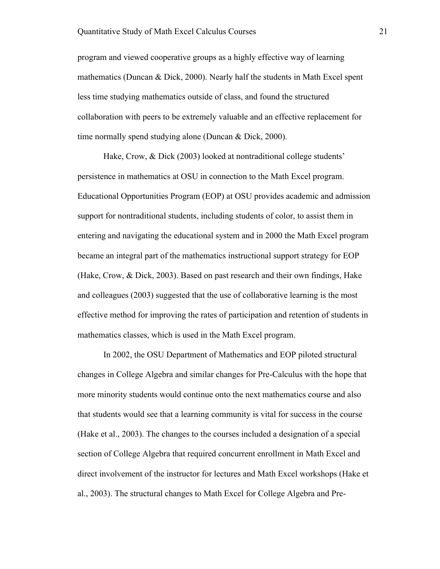program and viewed cooperative groups as a highly effective way of learning mathematics (Duncan & Dick, 2000). Nearly half the students in Math Excel spent less time studying mathematics outside of class, and found the structured collaboration with peers to be extremely valuable and an effective replacement for time normally spend studying alone (Duncan & Dick, 2000).

Hake, Crow, & Dick (2003) looked at nontraditional college students' persistence in mathematics at OSU in connection to the Math Excel program. Educational Opportunities Program (EOP) at OSU provides academic and admission support for nontraditional students, including students of color, to assist them in entering and navigating the educational system and in 2000 the Math Excel program became an integral part of the mathematics instructional support strategy for EOP (Hake, Crow, & Dick, 2003). Based on past research and their own findings, Hake and colleagues (2003) suggested that the use of collaborative learning is the most effective method for improving the rates of participation and retention of students in mathematics classes, which is used in the Math Excel program.

In 2002, the OSU Department of Mathematics and EOP piloted structural changes in College Algebra and similar changes for Pre-Calculus with the hope that more minority students would continue onto the next mathematics course and also that students would see that a learning community is vital for success in the course (Hake et al., 2003). The changes to the courses included a designation of a special section of College Algebra that required concurrent enrollment in Math Excel and direct involvement of the instructor for lectures and Math Excel workshops (Hake et al., 2003). The structural changes to Math Excel for College Algebra and Pre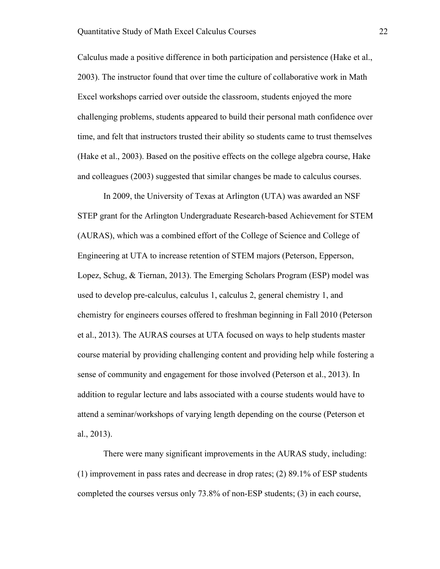Calculus made a positive difference in both participation and persistence (Hake et al., 2003). The instructor found that over time the culture of collaborative work in Math Excel workshops carried over outside the classroom, students enjoyed the more challenging problems, students appeared to build their personal math confidence over time, and felt that instructors trusted their ability so students came to trust themselves (Hake et al., 2003). Based on the positive effects on the college algebra course, Hake and colleagues (2003) suggested that similar changes be made to calculus courses.

In 2009, the University of Texas at Arlington (UTA) was awarded an NSF STEP grant for the Arlington Undergraduate Research-based Achievement for STEM (AURAS), which was a combined effort of the College of Science and College of Engineering at UTA to increase retention of STEM majors (Peterson, Epperson, Lopez, Schug, & Tiernan, 2013). The Emerging Scholars Program (ESP) model was used to develop pre-calculus, calculus 1, calculus 2, general chemistry 1, and chemistry for engineers courses offered to freshman beginning in Fall 2010 (Peterson et al., 2013). The AURAS courses at UTA focused on ways to help students master course material by providing challenging content and providing help while fostering a sense of community and engagement for those involved (Peterson et al., 2013). In addition to regular lecture and labs associated with a course students would have to attend a seminar/workshops of varying length depending on the course (Peterson et al., 2013).

There were many significant improvements in the AURAS study, including: (1) improvement in pass rates and decrease in drop rates; (2) 89.1% of ESP students completed the courses versus only 73.8% of non-ESP students; (3) in each course,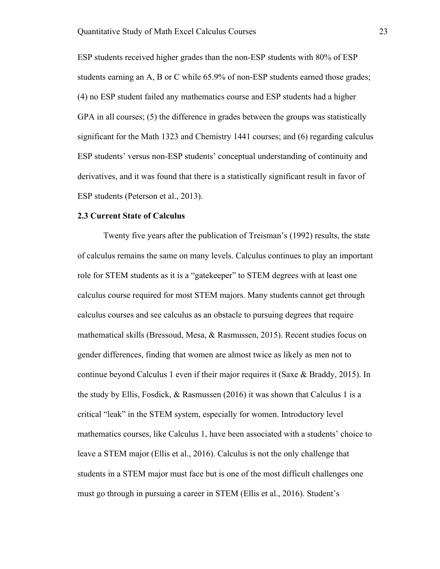ESP students received higher grades than the non-ESP students with 80% of ESP students earning an A, B or C while 65.9% of non-ESP students earned those grades; (4) no ESP student failed any mathematics course and ESP students had a higher GPA in all courses; (5) the difference in grades between the groups was statistically significant for the Math 1323 and Chemistry 1441 courses; and (6) regarding calculus ESP students' versus non-ESP students' conceptual understanding of continuity and derivatives, and it was found that there is a statistically significant result in favor of ESP students (Peterson et al., 2013).

#### **2.3 Current State of Calculus**

Twenty five years after the publication of Treisman's (1992) results, the state of calculus remains the same on many levels. Calculus continues to play an important role for STEM students as it is a "gatekeeper" to STEM degrees with at least one calculus course required for most STEM majors. Many students cannot get through calculus courses and see calculus as an obstacle to pursuing degrees that require mathematical skills (Bressoud, Mesa, & Rasmussen, 2015). Recent studies focus on gender differences, finding that women are almost twice as likely as men not to continue beyond Calculus 1 even if their major requires it (Saxe & Braddy, 2015). In the study by Ellis, Fosdick,  $\&$  Rasmussen (2016) it was shown that Calculus 1 is a critical "leak" in the STEM system, especially for women. Introductory level mathematics courses, like Calculus 1, have been associated with a students' choice to leave a STEM major (Ellis et al., 2016). Calculus is not the only challenge that students in a STEM major must face but is one of the most difficult challenges one must go through in pursuing a career in STEM (Ellis et al., 2016). Student's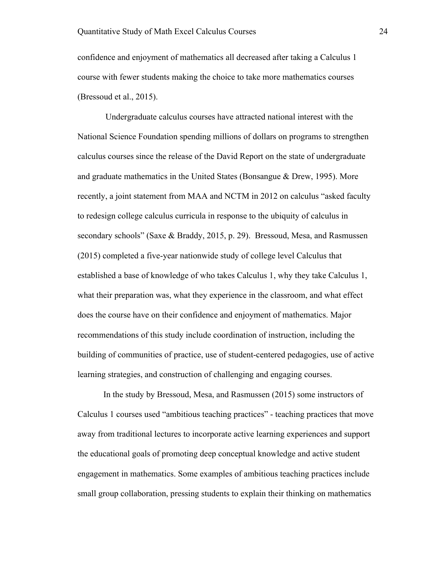confidence and enjoyment of mathematics all decreased after taking a Calculus 1 course with fewer students making the choice to take more mathematics courses (Bressoud et al., 2015).

Undergraduate calculus courses have attracted national interest with the National Science Foundation spending millions of dollars on programs to strengthen calculus courses since the release of the David Report on the state of undergraduate and graduate mathematics in the United States (Bonsangue & Drew, 1995). More recently, a joint statement from MAA and NCTM in 2012 on calculus "asked faculty to redesign college calculus curricula in response to the ubiquity of calculus in secondary schools" (Saxe & Braddy, 2015, p. 29). Bressoud, Mesa, and Rasmussen (2015) completed a five-year nationwide study of college level Calculus that established a base of knowledge of who takes Calculus 1, why they take Calculus 1, what their preparation was, what they experience in the classroom, and what effect does the course have on their confidence and enjoyment of mathematics. Major recommendations of this study include coordination of instruction, including the building of communities of practice, use of student-centered pedagogies, use of active learning strategies, and construction of challenging and engaging courses.

In the study by Bressoud, Mesa, and Rasmussen (2015) some instructors of Calculus 1 courses used "ambitious teaching practices" - teaching practices that move away from traditional lectures to incorporate active learning experiences and support the educational goals of promoting deep conceptual knowledge and active student engagement in mathematics. Some examples of ambitious teaching practices include small group collaboration, pressing students to explain their thinking on mathematics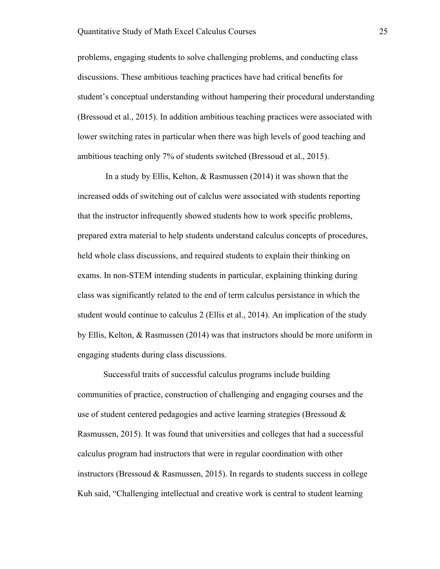problems, engaging students to solve challenging problems, and conducting class discussions. These ambitious teaching practices have had critical benefits for student's conceptual understanding without hampering their procedural understanding (Bressoud et al., 2015). In addition ambitious teaching practices were associated with lower switching rates in particular when there was high levels of good teaching and ambitious teaching only 7% of students switched (Bressoud et al., 2015).

In a study by Ellis, Kelton, & Rasmussen (2014) it was shown that the increased odds of switching out of calclus were associated with students reporting that the instructor infrequently showed students how to work specific problems, prepared extra material to help students understand calculus concepts of procedures, held whole class discussions, and required students to explain their thinking on exams. In non-STEM intending students in particular, explaining thinking during class was significantly related to the end of term calculus persistance in which the student would continue to calculus 2 (Ellis et al., 2014). An implication of the study by Ellis, Kelton, & Rasmussen (2014) was that instructors should be more uniform in engaging students during class discussions.

Successful traits of successful calculus programs include building communities of practice, construction of challenging and engaging courses and the use of student centered pedagogies and active learning strategies (Bressoud & Rasmussen, 2015). It was found that universities and colleges that had a successful calculus program had instructors that were in regular coordination with other instructors (Bressoud & Rasmussen, 2015). In regards to students success in college Kuh said, "Challenging intellectual and creative work is central to student learning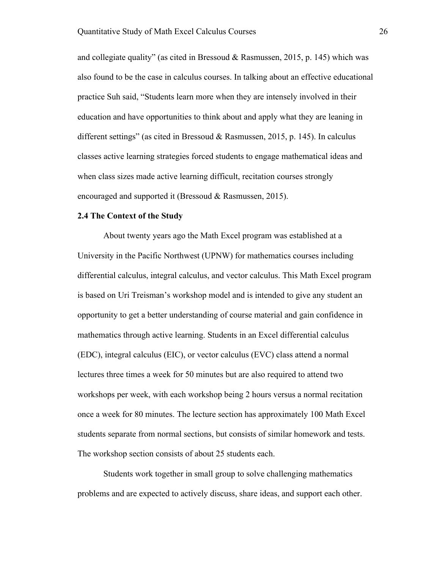and collegiate quality" (as cited in Bressoud  $\&$  Rasmussen, 2015, p. 145) which was also found to be the case in calculus courses. In talking about an effective educational practice Suh said, "Students learn more when they are intensely involved in their education and have opportunities to think about and apply what they are leaning in different settings" (as cited in Bressoud & Rasmussen, 2015, p. 145). In calculus classes active learning strategies forced students to engage mathematical ideas and when class sizes made active learning difficult, recitation courses strongly encouraged and supported it (Bressoud & Rasmussen, 2015).

#### **2.4 The Context of the Study**

About twenty years ago the Math Excel program was established at a University in the Pacific Northwest (UPNW) for mathematics courses including differential calculus, integral calculus, and vector calculus. This Math Excel program is based on Uri Treisman's workshop model and is intended to give any student an opportunity to get a better understanding of course material and gain confidence in mathematics through active learning. Students in an Excel differential calculus (EDC), integral calculus (EIC), or vector calculus (EVC) class attend a normal lectures three times a week for 50 minutes but are also required to attend two workshops per week, with each workshop being 2 hours versus a normal recitation once a week for 80 minutes. The lecture section has approximately 100 Math Excel students separate from normal sections, but consists of similar homework and tests. The workshop section consists of about 25 students each.

Students work together in small group to solve challenging mathematics problems and are expected to actively discuss, share ideas, and support each other.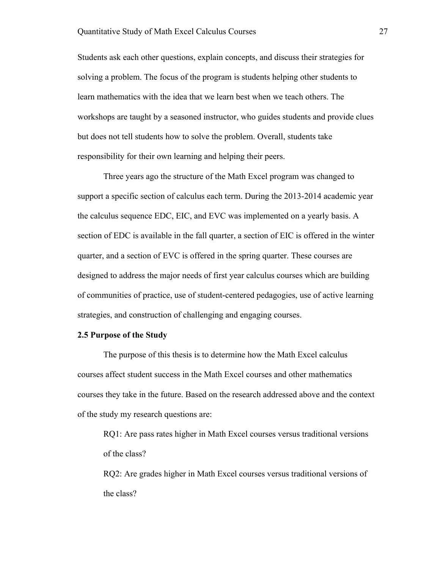Students ask each other questions, explain concepts, and discuss their strategies for solving a problem. The focus of the program is students helping other students to learn mathematics with the idea that we learn best when we teach others. The workshops are taught by a seasoned instructor, who guides students and provide clues but does not tell students how to solve the problem. Overall, students take responsibility for their own learning and helping their peers.

Three years ago the structure of the Math Excel program was changed to support a specific section of calculus each term. During the 2013-2014 academic year the calculus sequence EDC, EIC, and EVC was implemented on a yearly basis. A section of EDC is available in the fall quarter, a section of EIC is offered in the winter quarter, and a section of EVC is offered in the spring quarter. These courses are designed to address the major needs of first year calculus courses which are building of communities of practice, use of student-centered pedagogies, use of active learning strategies, and construction of challenging and engaging courses.

#### **2.5 Purpose of the Study**

The purpose of this thesis is to determine how the Math Excel calculus courses affect student success in the Math Excel courses and other mathematics courses they take in the future. Based on the research addressed above and the context of the study my research questions are:

RQ1: Are pass rates higher in Math Excel courses versus traditional versions of the class?

RQ2: Are grades higher in Math Excel courses versus traditional versions of the class?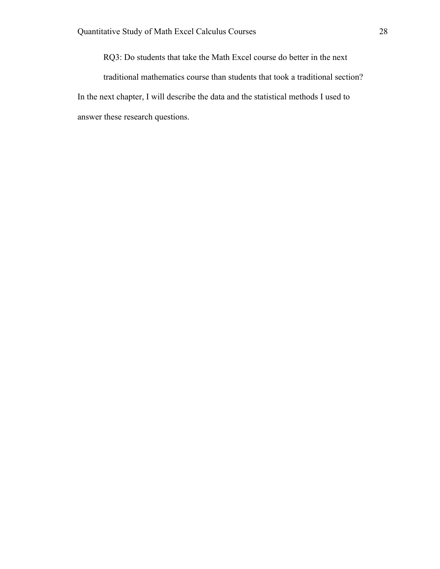RQ3: Do students that take the Math Excel course do better in the next

traditional mathematics course than students that took a traditional section? In the next chapter, I will describe the data and the statistical methods I used to answer these research questions.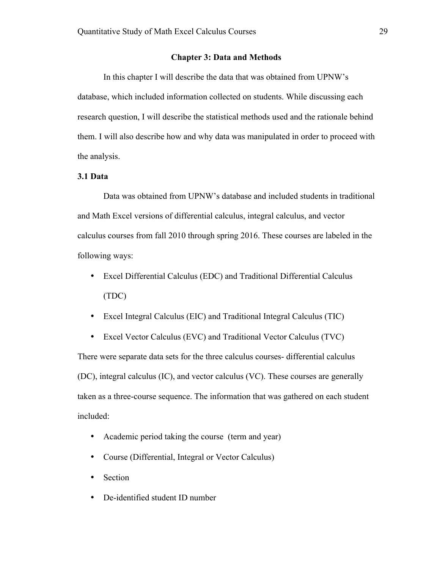#### **Chapter 3: Data and Methods**

In this chapter I will describe the data that was obtained from UPNW's database, which included information collected on students. While discussing each research question, I will describe the statistical methods used and the rationale behind them. I will also describe how and why data was manipulated in order to proceed with the analysis.

#### **3.1 Data**

Data was obtained from UPNW's database and included students in traditional and Math Excel versions of differential calculus, integral calculus, and vector calculus courses from fall 2010 through spring 2016. These courses are labeled in the following ways:

- Excel Differential Calculus (EDC) and Traditional Differential Calculus (TDC)
- Excel Integral Calculus (EIC) and Traditional Integral Calculus (TIC)

• Excel Vector Calculus (EVC) and Traditional Vector Calculus (TVC) There were separate data sets for the three calculus courses- differential calculus (DC), integral calculus (IC), and vector calculus (VC). These courses are generally taken as a three-course sequence. The information that was gathered on each student included:

- Academic period taking the course (term and year)
- Course (Differential, Integral or Vector Calculus)
- Section
- De-identified student ID number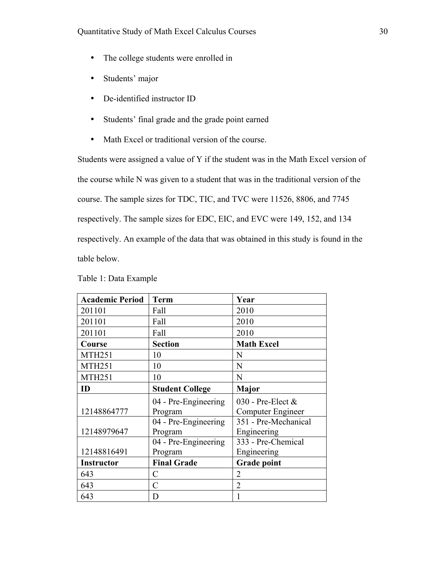- The college students were enrolled in
- Students' major
- De-identified instructor ID
- Students' final grade and the grade point earned
- Math Excel or traditional version of the course.

Students were assigned a value of Y if the student was in the Math Excel version of the course while N was given to a student that was in the traditional version of the course. The sample sizes for TDC, TIC, and TVC were 11526, 8806, and 7745 respectively. The sample sizes for EDC, EIC, and EVC were 149, 152, and 134 respectively. An example of the data that was obtained in this study is found in the table below.

| <b>Academic Period</b> | <b>Term</b>            | Year                 |
|------------------------|------------------------|----------------------|
| 201101                 | Fall                   | 2010                 |
| 201101                 | Fall                   | 2010                 |
| 201101                 | Fall                   | 2010                 |
| Course                 | <b>Section</b>         | <b>Math Excel</b>    |
| <b>MTH251</b>          | 10                     | N                    |
| <b>MTH251</b>          | 10                     | N                    |
| <b>MTH251</b>          | 10                     | N                    |
| ID                     | <b>Student College</b> | <b>Major</b>         |
|                        | 04 - Pre-Engineering   | 030 - Pre-Elect $&$  |
| 12148864777            | Program                | Computer Engineer    |
|                        | 04 - Pre-Engineering   | 351 - Pre-Mechanical |
| 12148979647            | Program                | Engineering          |
|                        | 04 - Pre-Engineering   | 333 - Pre-Chemical   |
| 12148816491            | Program                | Engineering          |
| <b>Instructor</b>      | <b>Final Grade</b>     | <b>Grade point</b>   |
| 643                    | C                      | $\overline{2}$       |
| 643                    | $\mathcal{C}$          | $\overline{2}$       |
| 643                    | D                      |                      |

Table 1: Data Example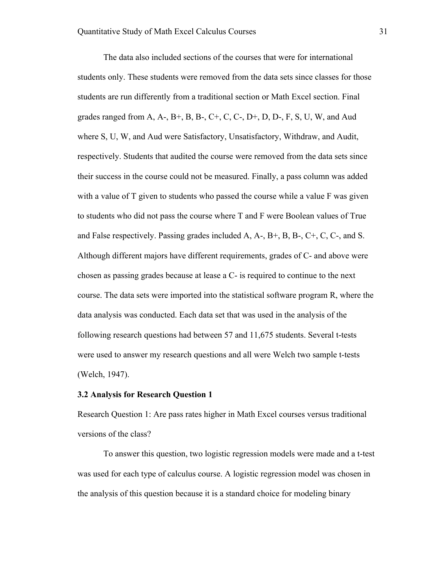The data also included sections of the courses that were for international students only. These students were removed from the data sets since classes for those students are run differently from a traditional section or Math Excel section. Final grades ranged from A, A-, B+, B, B-, C+, C, C-, D+, D, D-, F, S, U, W, and Aud where S, U, W, and Aud were Satisfactory, Unsatisfactory, Withdraw, and Audit, respectively. Students that audited the course were removed from the data sets since their success in the course could not be measured. Finally, a pass column was added with a value of T given to students who passed the course while a value F was given to students who did not pass the course where T and F were Boolean values of True and False respectively. Passing grades included  $A, A-, B+, B, B-, C+, C, C,$  and S. Although different majors have different requirements, grades of C- and above were chosen as passing grades because at lease a C- is required to continue to the next course. The data sets were imported into the statistical software program R, where the data analysis was conducted. Each data set that was used in the analysis of the following research questions had between 57 and 11,675 students. Several t-tests were used to answer my research questions and all were Welch two sample t-tests (Welch, 1947).

#### **3.2 Analysis for Research Question 1**

Research Question 1: Are pass rates higher in Math Excel courses versus traditional versions of the class?

To answer this question, two logistic regression models were made and a t-test was used for each type of calculus course. A logistic regression model was chosen in the analysis of this question because it is a standard choice for modeling binary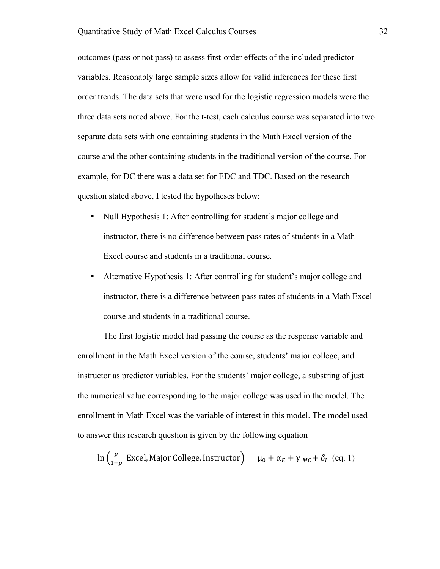outcomes (pass or not pass) to assess first-order effects of the included predictor variables. Reasonably large sample sizes allow for valid inferences for these first order trends. The data sets that were used for the logistic regression models were the three data sets noted above. For the t-test, each calculus course was separated into two separate data sets with one containing students in the Math Excel version of the course and the other containing students in the traditional version of the course. For example, for DC there was a data set for EDC and TDC. Based on the research question stated above, I tested the hypotheses below:

- Null Hypothesis 1: After controlling for student's major college and instructor, there is no difference between pass rates of students in a Math Excel course and students in a traditional course.
- Alternative Hypothesis 1: After controlling for student's major college and instructor, there is a difference between pass rates of students in a Math Excel course and students in a traditional course.

The first logistic model had passing the course as the response variable and enrollment in the Math Excel version of the course, students' major college, and instructor as predictor variables. For the students' major college, a substring of just the numerical value corresponding to the major college was used in the model. The enrollment in Math Excel was the variable of interest in this model. The model used to answer this research question is given by the following equation

$$
\ln\left(\frac{p}{1-p}\right)
$$
 Excel, Major College, Instrumentor $\right) = \mu_0 + \alpha_E + \gamma_{MC} + \delta_I$  (eq. 1)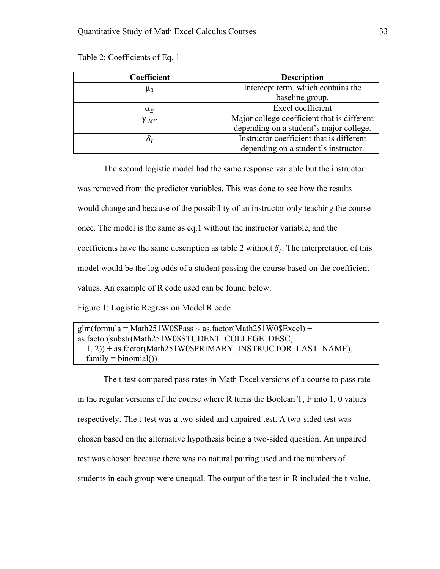Table 2: Coefficients of Eq. 1

| Coefficient      | <b>Description</b>                          |  |
|------------------|---------------------------------------------|--|
| $\mu_0$          | Intercept term, which contains the          |  |
|                  | baseline group.                             |  |
| $\alpha_F$       | Excel coefficient                           |  |
| $\gamma_{MC}$    | Major college coefficient that is different |  |
|                  | depending on a student's major college.     |  |
| $\delta_{\rm I}$ | Instructor coefficient that is different    |  |
|                  | depending on a student's instructor.        |  |

The second logistic model had the same response variable but the instructor was removed from the predictor variables. This was done to see how the results would change and because of the possibility of an instructor only teaching the course once. The model is the same as eq.1 without the instructor variable, and the coefficients have the same description as table 2 without  $\delta_l$ . The interpretation of this model would be the log odds of a student passing the course based on the coefficient values. An example of R code used can be found below.

Figure 1: Logistic Regression Model R code

```
g/m(formula = Math251W0$Pass \sim as.factor(Math251W0$Excel) +
as.factor(substr(Math251W0$STUDENT_COLLEGE_DESC, 
   1, 2)) + as.factor(Math251W0$PRIMARY_INSTRUCTOR_LAST_NAME), 
  family = binomial()
```
The t-test compared pass rates in Math Excel versions of a course to pass rate in the regular versions of the course where R turns the Boolean T, F into 1, 0 values respectively. The t-test was a two-sided and unpaired test. A two-sided test was chosen based on the alternative hypothesis being a two-sided question. An unpaired test was chosen because there was no natural pairing used and the numbers of students in each group were unequal. The output of the test in R included the t-value,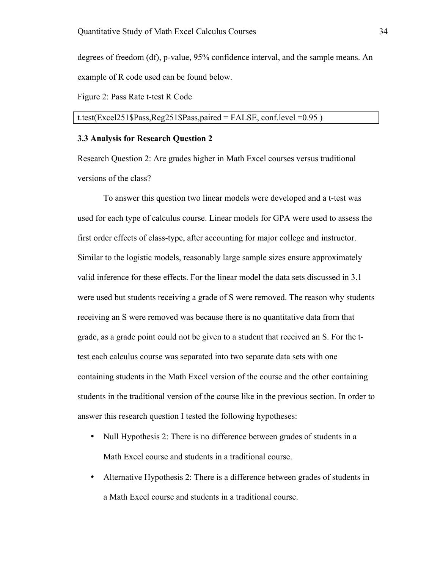degrees of freedom (df), p-value, 95% confidence interval, and the sample means. An example of R code used can be found below.

Figure 2: Pass Rate t-test R Code

#### t.test(Excel251\$Pass,Reg251\$Pass,paired = FALSE, conf.level =  $0.95$ )

#### **3.3 Analysis for Research Question 2**

Research Question 2: Are grades higher in Math Excel courses versus traditional versions of the class?

To answer this question two linear models were developed and a t-test was used for each type of calculus course. Linear models for GPA were used to assess the first order effects of class-type, after accounting for major college and instructor. Similar to the logistic models, reasonably large sample sizes ensure approximately valid inference for these effects. For the linear model the data sets discussed in 3.1 were used but students receiving a grade of S were removed. The reason why students receiving an S were removed was because there is no quantitative data from that grade, as a grade point could not be given to a student that received an S. For the ttest each calculus course was separated into two separate data sets with one containing students in the Math Excel version of the course and the other containing students in the traditional version of the course like in the previous section. In order to answer this research question I tested the following hypotheses:

- Null Hypothesis 2: There is no difference between grades of students in a Math Excel course and students in a traditional course.
- Alternative Hypothesis 2: There is a difference between grades of students in a Math Excel course and students in a traditional course.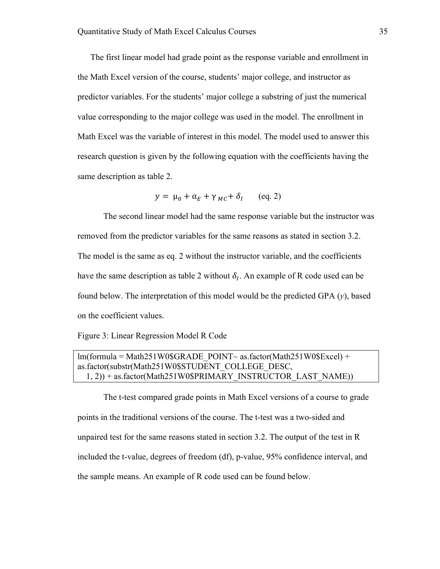The first linear model had grade point as the response variable and enrollment in the Math Excel version of the course, students' major college, and instructor as predictor variables. For the students' major college a substring of just the numerical value corresponding to the major college was used in the model. The enrollment in Math Excel was the variable of interest in this model. The model used to answer this research question is given by the following equation with the coefficients having the same description as table 2.

$$
y = \mu_0 + \alpha_E + \gamma_{MC} + \delta_I \qquad (eq. 2)
$$

The second linear model had the same response variable but the instructor was removed from the predictor variables for the same reasons as stated in section 3.2. The model is the same as eq. 2 without the instructor variable, and the coefficients have the same description as table 2 without  $\delta_l$ . An example of R code used can be found below. The interpretation of this model would be the predicted GPA (*y*), based on the coefficient values.

Figure 3: Linear Regression Model R Code

## $lm(formula = Math251W0$ GRADE POINT~ as.factor(Math251W0$Excel) +$ as.factor(substr(Math251W0\$STUDENT\_COLLEGE\_DESC, 1, 2)) + as.factor(Math251W0\$PRIMARY\_INSTRUCTOR\_LAST\_NAME))

The t-test compared grade points in Math Excel versions of a course to grade points in the traditional versions of the course. The t-test was a two-sided and unpaired test for the same reasons stated in section 3.2. The output of the test in R included the t-value, degrees of freedom (df), p-value, 95% confidence interval, and the sample means. An example of R code used can be found below.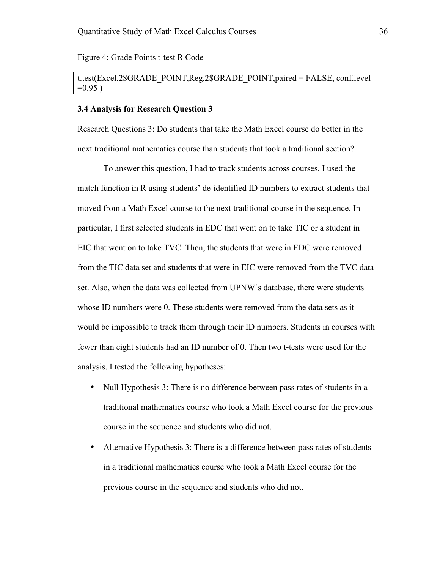Figure 4: Grade Points t-test R Code

## t.test(Excel.2\$GRADE\_POINT,Reg.2\$GRADE\_POINT,paired = FALSE, conf.level  $=0.95$ )

#### **3.4 Analysis for Research Question 3**

Research Questions 3: Do students that take the Math Excel course do better in the next traditional mathematics course than students that took a traditional section?

To answer this question, I had to track students across courses. I used the match function in R using students' de-identified ID numbers to extract students that moved from a Math Excel course to the next traditional course in the sequence. In particular, I first selected students in EDC that went on to take TIC or a student in EIC that went on to take TVC. Then, the students that were in EDC were removed from the TIC data set and students that were in EIC were removed from the TVC data set. Also, when the data was collected from UPNW's database, there were students whose ID numbers were 0. These students were removed from the data sets as it would be impossible to track them through their ID numbers. Students in courses with fewer than eight students had an ID number of 0. Then two t-tests were used for the analysis. I tested the following hypotheses:

- Null Hypothesis 3: There is no difference between pass rates of students in a traditional mathematics course who took a Math Excel course for the previous course in the sequence and students who did not.
- Alternative Hypothesis 3: There is a difference between pass rates of students in a traditional mathematics course who took a Math Excel course for the previous course in the sequence and students who did not.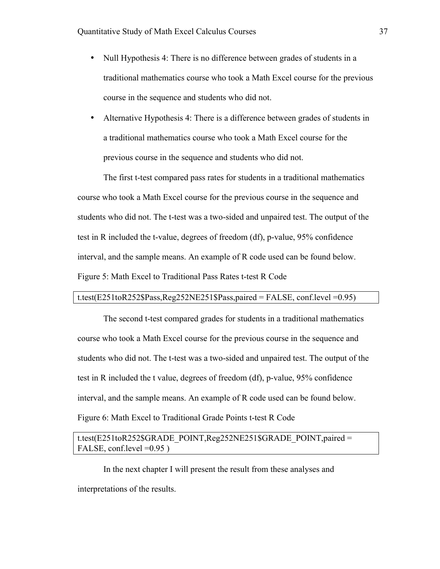- Null Hypothesis 4: There is no difference between grades of students in a traditional mathematics course who took a Math Excel course for the previous course in the sequence and students who did not.
- Alternative Hypothesis 4: There is a difference between grades of students in a traditional mathematics course who took a Math Excel course for the previous course in the sequence and students who did not.

The first t-test compared pass rates for students in a traditional mathematics course who took a Math Excel course for the previous course in the sequence and students who did not. The t-test was a two-sided and unpaired test. The output of the test in R included the t-value, degrees of freedom (df), p-value, 95% confidence interval, and the sample means. An example of R code used can be found below. Figure 5: Math Excel to Traditional Pass Rates t-test R Code

#### t.test(E251toR252\$Pass,Reg252NE251\$Pass,paired = FALSE, conf.level =0.95)

The second t-test compared grades for students in a traditional mathematics course who took a Math Excel course for the previous course in the sequence and students who did not. The t-test was a two-sided and unpaired test. The output of the test in R included the t value, degrees of freedom (df), p-value, 95% confidence interval, and the sample means. An example of R code used can be found below. Figure 6: Math Excel to Traditional Grade Points t-test R Code

## t.test(E251toR252\$GRADE\_POINT,Reg252NE251\$GRADE\_POINT,paired = FALSE, conf.level = 0.95 )

In the next chapter I will present the result from these analyses and interpretations of the results.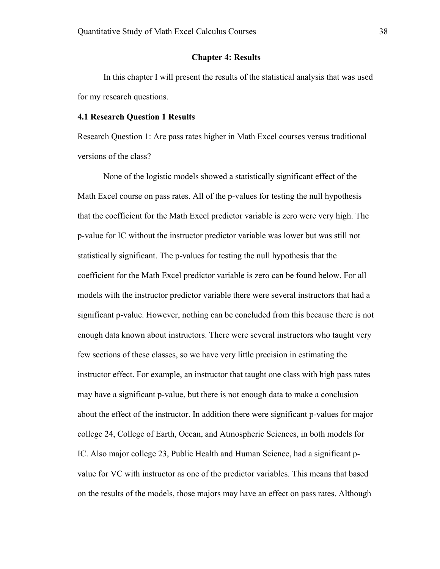#### **Chapter 4: Results**

In this chapter I will present the results of the statistical analysis that was used for my research questions.

#### **4.1 Research Question 1 Results**

Research Question 1: Are pass rates higher in Math Excel courses versus traditional versions of the class?

None of the logistic models showed a statistically significant effect of the Math Excel course on pass rates. All of the p-values for testing the null hypothesis that the coefficient for the Math Excel predictor variable is zero were very high. The p-value for IC without the instructor predictor variable was lower but was still not statistically significant. The p-values for testing the null hypothesis that the coefficient for the Math Excel predictor variable is zero can be found below. For all models with the instructor predictor variable there were several instructors that had a significant p-value. However, nothing can be concluded from this because there is not enough data known about instructors. There were several instructors who taught very few sections of these classes, so we have very little precision in estimating the instructor effect. For example, an instructor that taught one class with high pass rates may have a significant p-value, but there is not enough data to make a conclusion about the effect of the instructor. In addition there were significant p-values for major college 24, College of Earth, Ocean, and Atmospheric Sciences, in both models for IC. Also major college 23, Public Health and Human Science, had a significant pvalue for VC with instructor as one of the predictor variables. This means that based on the results of the models, those majors may have an effect on pass rates. Although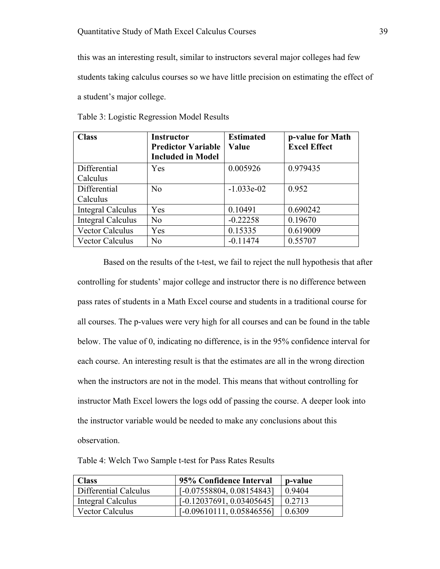this was an interesting result, similar to instructors several major colleges had few students taking calculus courses so we have little precision on estimating the effect of a student's major college.

| <b>Class</b>             | <b>Instructor</b>         | <b>Estimated</b> | p-value for Math    |
|--------------------------|---------------------------|------------------|---------------------|
|                          | <b>Predictor Variable</b> | Value            | <b>Excel Effect</b> |
|                          | <b>Included in Model</b>  |                  |                     |
| Differential             | Yes                       | 0.005926         | 0.979435            |
| Calculus                 |                           |                  |                     |
| Differential             | N <sub>0</sub>            | $-1.033e-02$     | 0.952               |
| Calculus                 |                           |                  |                     |
| <b>Integral Calculus</b> | Yes                       | 0.10491          | 0.690242            |
| <b>Integral Calculus</b> | No                        | $-0.22258$       | 0.19670             |
| <b>Vector Calculus</b>   | Yes                       | 0.15335          | 0.619009            |
| Vector Calculus          | No                        | $-0.11474$       | 0.55707             |

Table 3: Logistic Regression Model Results

Based on the results of the t-test, we fail to reject the null hypothesis that after controlling for students' major college and instructor there is no difference between pass rates of students in a Math Excel course and students in a traditional course for all courses. The p-values were very high for all courses and can be found in the table below. The value of 0, indicating no difference, is in the 95% confidence interval for each course. An interesting result is that the estimates are all in the wrong direction when the instructors are not in the model. This means that without controlling for instructor Math Excel lowers the logs odd of passing the course. A deeper look into the instructor variable would be needed to make any conclusions about this observation.

Table 4: Welch Two Sample t-test for Pass Rates Results

| <b>Class</b>           | 95% Confidence Interval     | p-value |
|------------------------|-----------------------------|---------|
| Differential Calculus  | $[-0.07558804, 0.08154843]$ | 0.9404  |
| Integral Calculus      | $[-0.12037691, 0.03405645]$ | 0.2713  |
| <b>Vector Calculus</b> | $[-0.09610111, 0.05846556]$ | 0.6309  |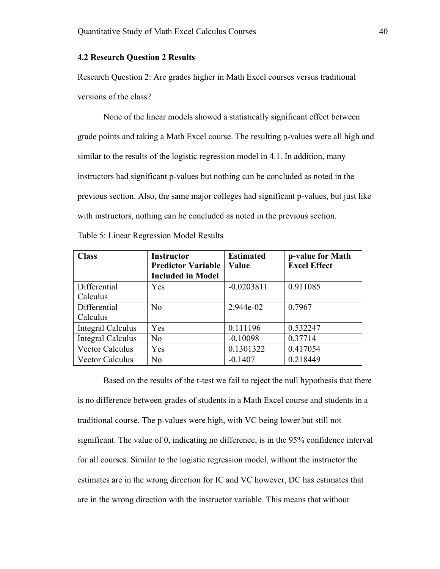#### **4.2 Research Question 2 Results**

Research Question 2: Are grades higher in Math Excel courses versus traditional versions of the class?

None of the linear models showed a statistically significant effect between grade points and taking a Math Excel course. The resulting p-values were all high and similar to the results of the logistic regression model in 4.1. In addition, many instructors had significant p-values but nothing can be concluded as noted in the previous section. Also, the same major colleges had significant p-values, but just like with instructors, nothing can be concluded as noted in the previous section.

| Table 5: Linear Regression Model Results |  |  |
|------------------------------------------|--|--|
|                                          |  |  |

| <b>Class</b>             | <b>Instructor</b>         | <b>Estimated</b> | p-value for Math    |
|--------------------------|---------------------------|------------------|---------------------|
|                          | <b>Predictor Variable</b> | Value            | <b>Excel Effect</b> |
|                          | <b>Included in Model</b>  |                  |                     |
| Differential             | Yes                       | $-0.0203811$     | 0.911085            |
| Calculus                 |                           |                  |                     |
| Differential             | No                        | 2.944e-02        | 0.7967              |
| Calculus                 |                           |                  |                     |
| <b>Integral Calculus</b> | Yes                       | 0.111196         | 0.532247            |
| <b>Integral Calculus</b> | N <sub>0</sub>            | $-0.10098$       | 0.37714             |
| <b>Vector Calculus</b>   | Yes                       | 0.1301322        | 0.417054            |
| <b>Vector Calculus</b>   | N <sub>0</sub>            | $-0.1407$        | 0.218449            |

Based on the results of the t-test we fail to reject the null hypothesis that there is no difference between grades of students in a Math Excel course and students in a traditional course. The p-values were high, with VC being lower but still not significant. The value of 0, indicating no difference, is in the 95% confidence interval for all courses. Similar to the logistic regression model, without the instructor the estimates are in the wrong direction for IC and VC however, DC has estimates that are in the wrong direction with the instructor variable. This means that without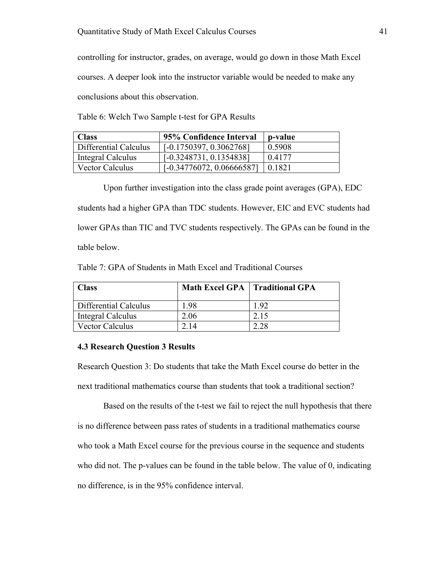controlling for instructor, grades, on average, would go down in those Math Excel courses. A deeper look into the instructor variable would be needed to make any conclusions about this observation.

Table 6: Welch Two Sample t-test for GPA Results

| <b>Class</b>           | 95% Confidence Interval     | p-value |
|------------------------|-----------------------------|---------|
| Differential Calculus  | $[-0.1750397, 0.3062768]$   | 0.5908  |
| Integral Calculus      | $[-0.3248731, 0.1354838]$   | 0.4177  |
| <b>Vector Calculus</b> | $[-0.34776072, 0.06666587]$ | 0.1821  |

Upon further investigation into the class grade point averages (GPA), EDC students had a higher GPA than TDC students. However, EIC and EVC students had lower GPAs than TIC and TVC students respectively. The GPAs can be found in the table below.

Table 7: GPA of Students in Math Excel and Traditional Courses

| <b>Class</b>           | Math Excel GPA   Traditional GPA |      |
|------------------------|----------------------------------|------|
| Differential Calculus  | 1.98                             | 192  |
| Integral Calculus      | 2.06                             | 2.15 |
| <b>Vector Calculus</b> | 2 14                             | 2.28 |

#### **4.3 Research Question 3 Results**

Research Question 3: Do students that take the Math Excel course do better in the next traditional mathematics course than students that took a traditional section?

Based on the results of the t-test we fail to reject the null hypothesis that there is no difference between pass rates of students in a traditional mathematics course who took a Math Excel course for the previous course in the sequence and students who did not. The p-values can be found in the table below. The value of 0, indicating no difference, is in the 95% confidence interval.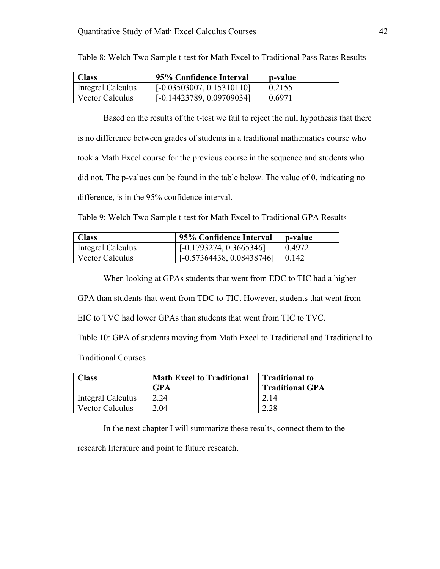| <b>Class</b>           | 95% Confidence Interval     | p-value |
|------------------------|-----------------------------|---------|
| Integral Calculus      | $[-0.03503007, 0.15310110]$ | 0.2155  |
| <b>Vector Calculus</b> | $[-0.14423789, 0.09709034]$ | 0.6971  |

Table 8: Welch Two Sample t-test for Math Excel to Traditional Pass Rates Results

Based on the results of the t-test we fail to reject the null hypothesis that there is no difference between grades of students in a traditional mathematics course who took a Math Excel course for the previous course in the sequence and students who did not. The p-values can be found in the table below. The value of 0, indicating no difference, is in the 95% confidence interval.

Table 9: Welch Two Sample t-test for Math Excel to Traditional GPA Results

| <b>Class</b>      | 95% Confidence Interval     | p-value |
|-------------------|-----------------------------|---------|
| Integral Calculus | $[-0.1793274, 0.3665346]$   | 0.4972  |
| Vector Calculus   | $[-0.57364438, 0.08438746]$ | 10.142  |

When looking at GPAs students that went from EDC to TIC had a higher

GPA than students that went from TDC to TIC. However, students that went from

EIC to TVC had lower GPAs than students that went from TIC to TVC.

Table 10: GPA of students moving from Math Excel to Traditional and Traditional to

Traditional Courses

| <b>Class</b>           | <b>Math Excel to Traditional</b><br><b>GPA</b> | <b>Traditional to</b><br><b>Traditional GPA</b> |
|------------------------|------------------------------------------------|-------------------------------------------------|
| Integral Calculus      | 2.24                                           | 2.14                                            |
| <b>Vector Calculus</b> | 2.04                                           |                                                 |

In the next chapter I will summarize these results, connect them to the

research literature and point to future research.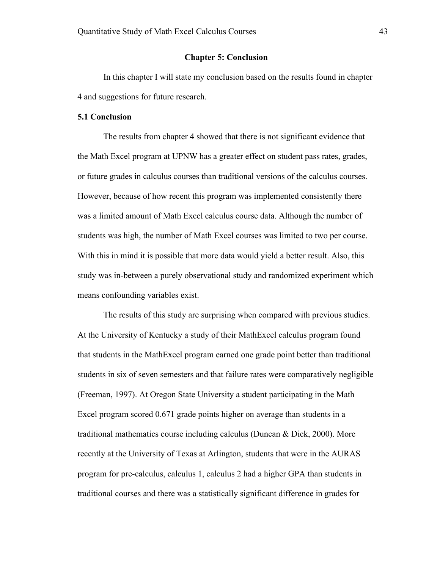#### **Chapter 5: Conclusion**

In this chapter I will state my conclusion based on the results found in chapter 4 and suggestions for future research.

#### **5.1 Conclusion**

The results from chapter 4 showed that there is not significant evidence that the Math Excel program at UPNW has a greater effect on student pass rates, grades, or future grades in calculus courses than traditional versions of the calculus courses. However, because of how recent this program was implemented consistently there was a limited amount of Math Excel calculus course data. Although the number of students was high, the number of Math Excel courses was limited to two per course. With this in mind it is possible that more data would yield a better result. Also, this study was in-between a purely observational study and randomized experiment which means confounding variables exist.

The results of this study are surprising when compared with previous studies. At the University of Kentucky a study of their MathExcel calculus program found that students in the MathExcel program earned one grade point better than traditional students in six of seven semesters and that failure rates were comparatively negligible (Freeman, 1997). At Oregon State University a student participating in the Math Excel program scored 0.671 grade points higher on average than students in a traditional mathematics course including calculus (Duncan & Dick, 2000). More recently at the University of Texas at Arlington, students that were in the AURAS program for pre-calculus, calculus 1, calculus 2 had a higher GPA than students in traditional courses and there was a statistically significant difference in grades for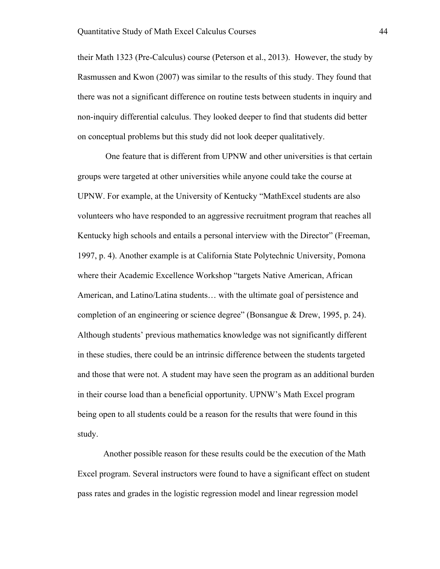their Math 1323 (Pre-Calculus) course (Peterson et al., 2013). However, the study by Rasmussen and Kwon (2007) was similar to the results of this study. They found that there was not a significant difference on routine tests between students in inquiry and non-inquiry differential calculus. They looked deeper to find that students did better on conceptual problems but this study did not look deeper qualitatively.

One feature that is different from UPNW and other universities is that certain groups were targeted at other universities while anyone could take the course at UPNW. For example, at the University of Kentucky "MathExcel students are also volunteers who have responded to an aggressive recruitment program that reaches all Kentucky high schools and entails a personal interview with the Director" (Freeman, 1997, p. 4). Another example is at California State Polytechnic University, Pomona where their Academic Excellence Workshop "targets Native American, African American, and Latino/Latina students… with the ultimate goal of persistence and completion of an engineering or science degree" (Bonsangue & Drew, 1995, p. 24). Although students' previous mathematics knowledge was not significantly different in these studies, there could be an intrinsic difference between the students targeted and those that were not. A student may have seen the program as an additional burden in their course load than a beneficial opportunity. UPNW's Math Excel program being open to all students could be a reason for the results that were found in this study.

Another possible reason for these results could be the execution of the Math Excel program. Several instructors were found to have a significant effect on student pass rates and grades in the logistic regression model and linear regression model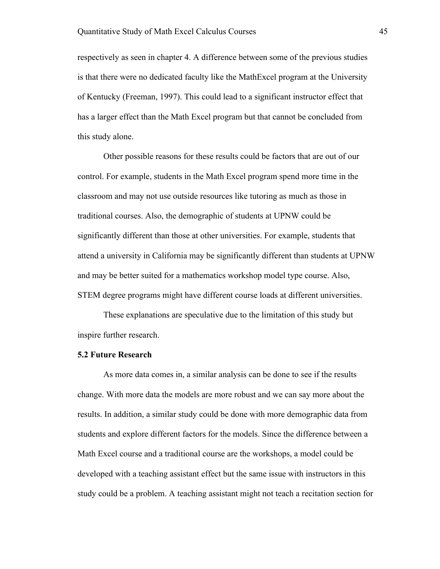respectively as seen in chapter 4. A difference between some of the previous studies is that there were no dedicated faculty like the MathExcel program at the University of Kentucky (Freeman, 1997). This could lead to a significant instructor effect that has a larger effect than the Math Excel program but that cannot be concluded from this study alone.

Other possible reasons for these results could be factors that are out of our control. For example, students in the Math Excel program spend more time in the classroom and may not use outside resources like tutoring as much as those in traditional courses. Also, the demographic of students at UPNW could be significantly different than those at other universities. For example, students that attend a university in California may be significantly different than students at UPNW and may be better suited for a mathematics workshop model type course. Also, STEM degree programs might have different course loads at different universities.

These explanations are speculative due to the limitation of this study but inspire further research.

#### **5.2 Future Research**

As more data comes in, a similar analysis can be done to see if the results change. With more data the models are more robust and we can say more about the results. In addition, a similar study could be done with more demographic data from students and explore different factors for the models. Since the difference between a Math Excel course and a traditional course are the workshops, a model could be developed with a teaching assistant effect but the same issue with instructors in this study could be a problem. A teaching assistant might not teach a recitation section for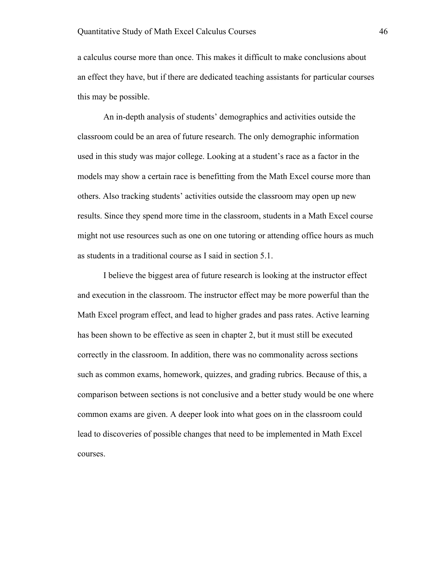a calculus course more than once. This makes it difficult to make conclusions about an effect they have, but if there are dedicated teaching assistants for particular courses this may be possible.

An in-depth analysis of students' demographics and activities outside the classroom could be an area of future research. The only demographic information used in this study was major college. Looking at a student's race as a factor in the models may show a certain race is benefitting from the Math Excel course more than others. Also tracking students' activities outside the classroom may open up new results. Since they spend more time in the classroom, students in a Math Excel course might not use resources such as one on one tutoring or attending office hours as much as students in a traditional course as I said in section 5.1.

I believe the biggest area of future research is looking at the instructor effect and execution in the classroom. The instructor effect may be more powerful than the Math Excel program effect, and lead to higher grades and pass rates. Active learning has been shown to be effective as seen in chapter 2, but it must still be executed correctly in the classroom. In addition, there was no commonality across sections such as common exams, homework, quizzes, and grading rubrics. Because of this, a comparison between sections is not conclusive and a better study would be one where common exams are given. A deeper look into what goes on in the classroom could lead to discoveries of possible changes that need to be implemented in Math Excel courses.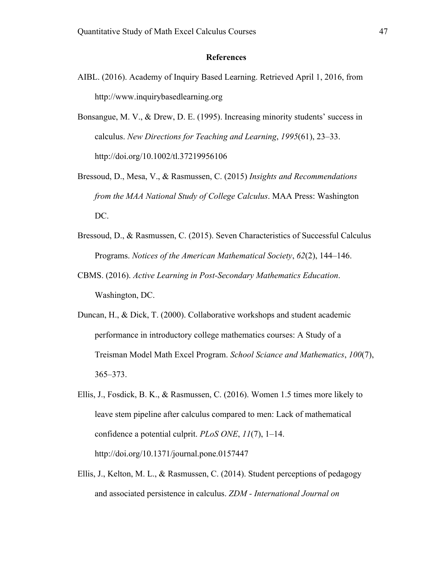#### **References**

- AIBL. (2016). Academy of Inquiry Based Learning. Retrieved April 1, 2016, from http://www.inquirybasedlearning.org
- Bonsangue, M. V., & Drew, D. E. (1995). Increasing minority students' success in calculus. *New Directions for Teaching and Learning*, *1995*(61), 23–33. http://doi.org/10.1002/tl.37219956106
- Bressoud, D., Mesa, V., & Rasmussen, C. (2015) *Insights and Recommendations from the MAA National Study of College Calculus*. MAA Press: Washington DC.
- Bressoud, D., & Rasmussen, C. (2015). Seven Characteristics of Successful Calculus Programs. *Notices of the American Mathematical Society*, *62*(2), 144–146.
- CBMS. (2016). *Active Learning in Post-Secondary Mathematics Education*. Washington, DC.
- Duncan, H., & Dick, T. (2000). Collaborative workshops and student academic performance in introductory college mathematics courses: A Study of a Treisman Model Math Excel Program. *School Sciance and Mathematics*, *100*(7), 365–373.
- Ellis, J., Fosdick, B. K., & Rasmussen, C. (2016). Women 1.5 times more likely to leave stem pipeline after calculus compared to men: Lack of mathematical confidence a potential culprit. *PLoS ONE*, *11*(7), 1–14. http://doi.org/10.1371/journal.pone.0157447
- Ellis, J., Kelton, M. L., & Rasmussen, C. (2014). Student perceptions of pedagogy and associated persistence in calculus. *ZDM - International Journal on*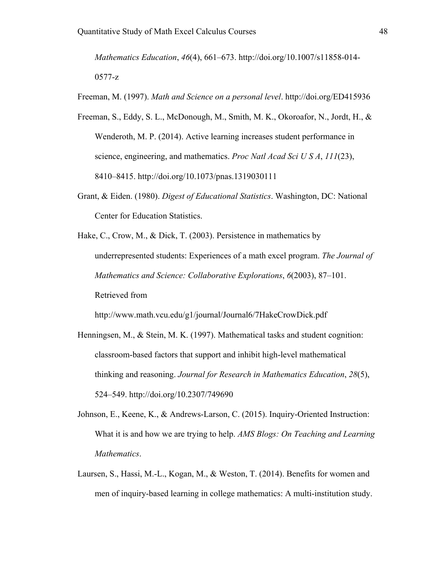*Mathematics Education*, *46*(4), 661–673. http://doi.org/10.1007/s11858-014- 0577-z

Freeman, M. (1997). *Math and Science on a personal level*. http://doi.org/ED415936

- Freeman, S., Eddy, S. L., McDonough, M., Smith, M. K., Okoroafor, N., Jordt, H., & Wenderoth, M. P. (2014). Active learning increases student performance in science, engineering, and mathematics. *Proc Natl Acad Sci U S A*, *111*(23), 8410–8415. http://doi.org/10.1073/pnas.1319030111
- Grant, & Eiden. (1980). *Digest of Educational Statistics*. Washington, DC: National Center for Education Statistics.
- Hake, C., Crow, M., & Dick, T. (2003). Persistence in mathematics by underrepresented students: Experiences of a math excel program. *The Journal of Mathematics and Science: Collaborative Explorations*, *6*(2003), 87–101. Retrieved from

http://www.math.vcu.edu/g1/journal/Journal6/7HakeCrowDick.pdf

- Henningsen, M., & Stein, M. K. (1997). Mathematical tasks and student cognition: classroom-based factors that support and inhibit high-level mathematical thinking and reasoning. *Journal for Research in Mathematics Education*, *28*(5), 524–549. http://doi.org/10.2307/749690
- Johnson, E., Keene, K., & Andrews-Larson, C. (2015). Inquiry-Oriented Instruction: What it is and how we are trying to help. *AMS Blogs: On Teaching and Learning Mathematics*.
- Laursen, S., Hassi, M.-L., Kogan, M., & Weston, T. (2014). Benefits for women and men of inquiry-based learning in college mathematics: A multi-institution study.